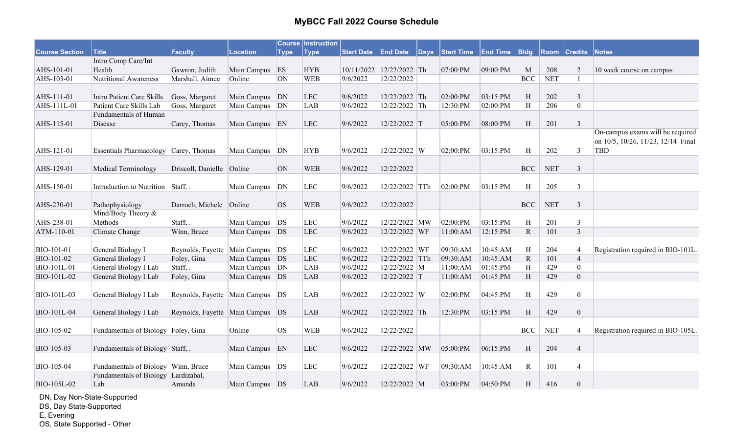|                       |                                       |                                      |                 |             | <b>Course Instruction</b> |                   |                          |              |                   |                 |                           |                      |                     |                                    |
|-----------------------|---------------------------------------|--------------------------------------|-----------------|-------------|---------------------------|-------------------|--------------------------|--------------|-------------------|-----------------|---------------------------|----------------------|---------------------|------------------------------------|
| <b>Course Section</b> | <b>Title</b>                          | Faculty                              | <b>Location</b> | <b>Type</b> | <b>Type</b>               | <b>Start Date</b> | <b>End Date</b>          | $\vert$ Days | <b>Start Time</b> | <b>End Time</b> | B <sub>lg</sub>           |                      | <b>Room Credits</b> | <b>Notes</b>                       |
|                       | Intro Comp Care/Int                   |                                      |                 |             |                           |                   |                          |              |                   |                 |                           |                      |                     |                                    |
| AHS-101-01            | Health                                | Gawron, Judith                       | Main Campus     | ES          | <b>HYB</b>                |                   | 10/11/2022 12/22/2022 Th |              | 07:00:PM          | 09:00:PM        | M                         | 208                  | 2                   | 10 week course on campus           |
| AHS-103-01            | Nutritional Awareness                 | Marshall, Aimee                      | Online          | <b>ON</b>   | <b>WEB</b>                | 9/6/2022          | 12/22/2022               |              |                   |                 | <b>BCC</b>                | <b>NET</b>           | $\mathbf{1}$        |                                    |
|                       |                                       |                                      |                 |             |                           |                   |                          |              |                   |                 |                           |                      |                     |                                    |
| AHS-111-01            | Intro Patient Care Skills             | Goss, Margaret                       | Main Campus     | DN          | LEC                       | 9/6/2022          | 12/22/2022 Th            |              | 02:00:PM          | 03:15:PM        | H                         | 202                  | 3                   |                                    |
| AHS-111L-01           | Patient Care Skills Lab               | Goss, Margaret                       | Main Campus     | DN          | <b>LAB</b>                | 9/6/2022          | 12/22/2022 Th            |              | 12:30:PM          | 02:00:PM        | H                         | 206                  | $\overline{0}$      |                                    |
|                       | Fundamentals of Human                 |                                      |                 |             |                           |                   |                          |              |                   |                 |                           |                      |                     |                                    |
| AHS-115-01            | Disease                               | Carey, Thomas                        | Main Campus EN  |             | <b>LEC</b>                | 9/6/2022          | 12/22/2022 T             |              | 05:00:PM          | 08:00:PM        | $\boldsymbol{\mathrm{H}}$ | 201                  | $\mathfrak{Z}$      |                                    |
|                       |                                       |                                      |                 |             |                           |                   |                          |              |                   |                 |                           |                      |                     | On-campus exams will be required   |
|                       |                                       |                                      |                 |             |                           |                   |                          |              |                   |                 |                           |                      |                     | on 10/5, 10/26, 11/23, 12/14 Final |
| AHS-121-01            | Essentials Pharmacology Carey, Thomas |                                      | Main Campus     | DN          | <b>HYB</b>                | 9/6/2022          | 12/22/2022 W             |              | 02:00:PM          | 03:15:PM        | H                         | 202                  | $\mathfrak{Z}$      | <b>TBD</b>                         |
|                       |                                       |                                      |                 |             |                           |                   |                          |              |                   |                 |                           |                      |                     |                                    |
| AHS-129-01            | Medical Terminology                   | Driscoll, Danielle Online            |                 | <b>ON</b>   | <b>WEB</b>                | 9/6/2022          | 12/22/2022               |              |                   |                 | <b>BCC</b>                | <b>NET</b>           | $\overline{3}$      |                                    |
|                       |                                       |                                      |                 |             |                           |                   |                          |              |                   |                 |                           |                      |                     |                                    |
| AHS-150-01            | Introduction to Nutrition Staff,.     |                                      | Main Campus     | DN          | LEC                       | 9/6/2022          | 12/22/2022 TTh           |              | 02:00:PM          | 03:15:PM        | H                         | 205                  | $\mathfrak{Z}$      |                                    |
|                       |                                       |                                      |                 |             |                           |                   |                          |              |                   |                 |                           |                      |                     |                                    |
| AHS-230-01            | Pathophysiology                       | Darroch, Michele Online              |                 | OS          | <b>WEB</b>                | 9/6/2022          | 12/22/2022               |              |                   |                 | <b>BCC</b>                | $\operatorname{NET}$ | $\overline{3}$      |                                    |
|                       | Mind/Body Theory &                    |                                      |                 |             |                           |                   |                          |              |                   |                 |                           |                      |                     |                                    |
| AHS-238-01            | Methods                               | Staff, .                             | Main Campus     | DS          | LEC                       | 9/6/2022          | 12/22/2022 MW            |              | 02:00:PM          | 03:15:PM        | H                         | 201                  | $\mathfrak{Z}$      |                                    |
| ATM-110-01            | Climate Change                        | Winn, Bruce                          | Main Campus DS  |             | LEC                       | 9/6/2022          | 12/22/2022 WF            |              | 11:00:AM          | 12:15:PM        | $\mathbf R$               | 101                  | $\overline{3}$      |                                    |
|                       |                                       |                                      |                 |             |                           |                   |                          |              |                   |                 |                           |                      |                     |                                    |
| BIO-101-01            | General Biology I                     | Reynolds, Fayette                    | Main Campus     | DS          | LEC                       | 9/6/2022          | 12/22/2022 WF            |              | 09:30:AM          | 10:45:AM        | H                         | 204                  | $\overline{4}$      | Registration required in BIO-101L. |
| BIO-101-02            | General Biology I                     | Foley, Gina                          | Main Campus DS  |             | LEC                       | 9/6/2022          | 12/22/2022 TTh           |              | 09:30:AM          | 10:45:AM        | $\mathbf R$               | 101                  | $\overline{4}$      |                                    |
| <b>BIO-101L-01</b>    | General Biology I Lab                 | Staff,.                              | Main Campus     | DN          | LAB                       | 9/6/2022          | 12/22/2022 M             |              | 11:00:AM          | 01:45:PM        | $\, {\rm H}$              | 429                  | $\mathbf{0}$        |                                    |
| BIO-101L-02           | General Biology I Lab                 | Foley, Gina                          | Main Campus DS  |             | LAB                       | 9/6/2022          | 12/22/2022 T             |              | 11:00:AM          | 01:45:PM        | H                         | 429                  | $\mathbf{0}$        |                                    |
|                       |                                       |                                      |                 |             |                           |                   |                          |              |                   |                 |                           |                      |                     |                                    |
| BIO-101L-03           | General Biology I Lab                 | Reynolds, Fayette Main Campus        |                 | DS          | <b>LAB</b>                | 9/6/2022          | 12/22/2022 W             |              | 02:00:PM          | 04:45:PM        | H                         | 429                  | $\mathbf{0}$        |                                    |
|                       |                                       |                                      |                 |             |                           |                   |                          |              |                   |                 |                           |                      |                     |                                    |
| BIO-101L-04           | General Biology I Lab                 | Reynolds, Fayette   Main Campus   DS |                 |             | <b>LAB</b>                | 9/6/2022          | 12/22/2022 Th            |              | 12:30:PM          | 03:15:PM        | H                         | 429                  | $\boldsymbol{0}$    |                                    |
|                       |                                       |                                      |                 |             |                           |                   |                          |              |                   |                 |                           |                      |                     |                                    |
| BIO-105-02            | Fundamentals of Biology Foley, Gina   |                                      | Online          | OS          | <b>WEB</b>                | 9/6/2022          | 12/22/2022               |              |                   |                 | <b>BCC</b>                | $\operatorname{NET}$ | $\overline{4}$      | Registration required in BIO-105L. |
|                       |                                       |                                      |                 |             |                           |                   |                          |              |                   |                 |                           |                      |                     |                                    |
| BIO-105-03            | Fundamentals of Biology Staff, .      |                                      | Main Campus     | EN          | <b>LEC</b>                | 9/6/2022          | 12/22/2022 MW            |              | 05:00:PM          | 06:15:PM        | H                         | 204                  | $\overline{4}$      |                                    |
|                       |                                       |                                      |                 |             |                           |                   |                          |              |                   |                 |                           |                      |                     |                                    |
| BIO-105-04            | Fundamentals of Biology Winn, Bruce   |                                      | Main Campus     | DS          | <b>LEC</b>                | 9/6/2022          | 12/22/2022 WF            |              | 09:30:AM          | 10:45:AM        | $\mathbf R$               | 101                  | $\overline{4}$      |                                    |
|                       | Fundamentals of Biology Lardizabal,   |                                      |                 |             |                           |                   |                          |              |                   |                 |                           |                      |                     |                                    |
| BIO-105L-02           | Lab                                   | Amanda                               | Main Campus DS  |             | <b>LAB</b>                | 9/6/2022          | 12/22/2022 M             |              | 03:00:PM          | 04:50:PM        | H                         | 416                  | $\boldsymbol{0}$    |                                    |

DN, Day Non-State-Supported

DS, Day State-Supported

E, Evening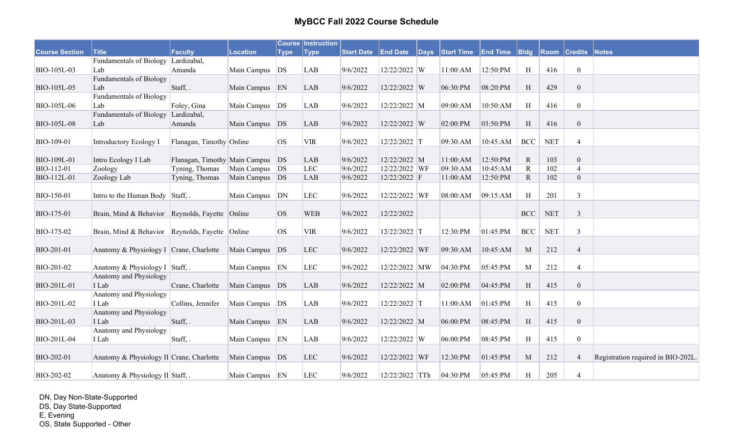|                       |                                                 |                                  |                  |             | <b>Course Instruction</b> |                   |                 |              |                   |                 |              |            |                           |                                    |
|-----------------------|-------------------------------------------------|----------------------------------|------------------|-------------|---------------------------|-------------------|-----------------|--------------|-------------------|-----------------|--------------|------------|---------------------------|------------------------------------|
| <b>Course Section</b> | <b>Title</b>                                    | Faculty                          | Location         | <b>Type</b> | <b>Type</b>               | <b>Start Date</b> | <b>End Date</b> | $\vert$ Days | <b>Start Time</b> | <b>End Time</b> | B            |            | <b>Room Credits Notes</b> |                                    |
|                       | <b>Fundamentals of Biology</b>                  | Lardizabal,                      |                  |             |                           |                   |                 |              |                   |                 |              |            |                           |                                    |
| BIO-105L-03           | Lab                                             | Amanda                           | Main Campus   DS |             | LAB                       | 9/6/2022          | 12/22/2022 W    |              | 11:00:AM          | 12:50:PM        | H            | 416        | $\boldsymbol{0}$          |                                    |
|                       | <b>Fundamentals of Biology</b>                  |                                  |                  |             |                           |                   |                 |              |                   |                 |              |            |                           |                                    |
| BIO-105L-05           | Lab                                             | Staff, .                         | Main Campus EN   |             | LAB                       | 9/6/2022          | 12/22/2022 W    |              | 06:30:PM          | 08:20:PM        | H            | 429        | $\mathbf{0}$              |                                    |
|                       | <b>Fundamentals of Biology</b>                  |                                  |                  |             |                           |                   |                 |              |                   |                 |              |            |                           |                                    |
| <b>BIO-105L-06</b>    | Lab                                             | Foley, Gina                      | Main Campus DS   |             | <b>LAB</b>                | 9/6/2022          | 12/22/2022 M    |              | 09:00:AM          | 10:50:AM        | H            | 416        | $\mathbf{0}$              |                                    |
|                       | <b>Fundamentals of Biology</b>                  | Lardizabal,                      |                  |             |                           |                   |                 |              |                   |                 |              |            |                           |                                    |
| <b>BIO-105L-08</b>    | Lab                                             | Amanda                           | Main Campus DS   |             | LAB                       | 9/6/2022          | 12/22/2022 W    |              | 02:00:PM          | 03:50:PM        | H            | 416        | $\mathbf{0}$              |                                    |
|                       |                                                 |                                  |                  |             |                           |                   |                 |              |                   |                 |              |            |                           |                                    |
| BIO-109-01            | Introductory Ecology I                          | Flanagan, Timothy Online         |                  | <b>OS</b>   | <b>VIR</b>                | 9/6/2022          | 12/22/2022 T    |              | 09:30:AM          | 10:45:AM        | <b>BCC</b>   | <b>NET</b> | $\overline{4}$            |                                    |
| BIO-109L-01           | Intro Ecology I Lab                             | Flanagan, Timothy Main Campus DS |                  |             | <b>LAB</b>                | 9/6/2022          | 12/22/2022 M    |              | 11:00:AM          | 12:50:PM        | $\mathbb{R}$ | 103        | $\mathbf{0}$              |                                    |
| BIO-112-01            | Zoology                                         | Tyning, Thomas                   | Main Campus      | DS          | LEC                       | 9/6/2022          | 12/22/2022 WF   |              | 09:30:AM          | 10:45:AM        | $\mathbf R$  | 102        | $\overline{4}$            |                                    |
| BIO-112L-01           | Zoology Lab                                     | Tyning, Thomas                   | Main Campus DS   |             | LAB                       | 9/6/2022          | 12/22/2022 F    |              | 11:00:AM          | 12:50:PM        | $\mathbf R$  | 102        | $\mathbf{0}$              |                                    |
|                       |                                                 |                                  |                  |             |                           |                   |                 |              |                   |                 |              |            |                           |                                    |
| BIO-150-01            | Intro to the Human Body Staff,.                 |                                  | Main Campus      | DN          | <b>LEC</b>                | 9/6/2022          | 12/22/2022 WF   |              | 08:00:AM          | 09:15:AM        | H            | 201        | $\mathfrak{Z}$            |                                    |
|                       |                                                 |                                  |                  |             |                           |                   |                 |              |                   |                 |              |            |                           |                                    |
| BIO-175-01            | Brain, Mind & Behavior Reynolds, Fayette Online |                                  |                  | <b>OS</b>   | <b>WEB</b>                | 9/6/2022          | 12/22/2022      |              |                   |                 | <b>BCC</b>   | <b>NET</b> | $\mathfrak{Z}$            |                                    |
|                       |                                                 |                                  |                  |             |                           |                   |                 |              |                   |                 |              |            |                           |                                    |
| BIO-175-02            | Brain, Mind & Behavior Reynolds, Fayette Online |                                  |                  | <b>OS</b>   | <b>VIR</b>                | 9/6/2022          | 12/22/2022 T    |              | 12:30:PM          | 01:45:PM        | <b>BCC</b>   | <b>NET</b> | $\mathfrak{Z}$            |                                    |
| BIO-201-01            | Anatomy & Physiology I Crane, Charlotte         |                                  | Main Campus DS   |             | <b>LEC</b>                | 9/6/2022          | 12/22/2022 WF   |              | 09:30:AM          | 10:45:AM        | M            | 212        | $\overline{4}$            |                                    |
|                       |                                                 |                                  |                  |             |                           |                   |                 |              |                   |                 |              |            |                           |                                    |
| BIO-201-02            | Anatomy & Physiology I Staff, .                 |                                  | Main Campus EN   |             | LEC                       | 9/6/2022          | 12/22/2022 MW   |              | 04:30:PM          | 05:45:PM        | M            | 212        | $\overline{4}$            |                                    |
|                       | Anatomy and Physiology                          |                                  |                  |             |                           |                   |                 |              |                   |                 |              |            |                           |                                    |
| BIO-201L-01           | I Lab                                           | Crane, Charlotte                 | Main Campus DS   |             | <b>LAB</b>                | 9/6/2022          | 12/22/2022 M    |              | 02:00:PM          | 04:45:PM        | H            | 415        | $\mathbf{0}$              |                                    |
|                       | Anatomy and Physiology                          |                                  |                  |             |                           |                   |                 |              |                   |                 |              |            |                           |                                    |
| BIO-201L-02           | I Lab                                           | Collins, Jennifer                | Main Campus DS   |             | <b>LAB</b>                | 9/6/2022          | 12/22/2022 T    |              | $11:00:AM$        | 01:45:PM        | H            | 415        | $\mathbf{0}$              |                                    |
|                       | Anatomy and Physiology                          |                                  |                  |             |                           |                   |                 |              |                   |                 |              |            |                           |                                    |
| BIO-201L-03           | I Lab                                           | Staff, .                         | Main Campus EN   |             | LAB                       | 9/6/2022          | 12/22/2022 M    |              | 06:00:PM          | 08:45:PM        | H            | 415        | $\boldsymbol{0}$          |                                    |
|                       | Anatomy and Physiology                          |                                  |                  |             |                           |                   |                 |              |                   |                 |              |            |                           |                                    |
| BIO-201L-04           | I Lab                                           | Staff, .                         | Main Campus EN   |             | <b>LAB</b>                | 9/6/2022          | 12/22/2022 W    |              | 06:00:PM          | 08:45:PM        | H            | 415        | $\boldsymbol{0}$          |                                    |
|                       |                                                 |                                  |                  |             |                           |                   |                 |              |                   |                 |              |            |                           |                                    |
| BIO-202-01            | Anatomy & Physiology II Crane, Charlotte        |                                  | Main Campus DS   |             | <b>LEC</b>                | 9/6/2022          | 12/22/2022 WF   |              | 12:30:PM          | 01:45:PM        | M            | 212        | $\overline{4}$            | Registration required in BIO-202L. |
| BIO-202-02            | Anatomy & Physiology II Staff, .                |                                  | Main Campus EN   |             | <b>LEC</b>                | 9/6/2022          | 12/22/2022 TTh  |              | 04:30:PM          | 05:45:PM        | H            | 205        | $\overline{4}$            |                                    |
|                       |                                                 |                                  |                  |             |                           |                   |                 |              |                   |                 |              |            |                           |                                    |

DN, Day Non-State-Supported DS, Day State-Supported E, Evening OS, State Supported - Other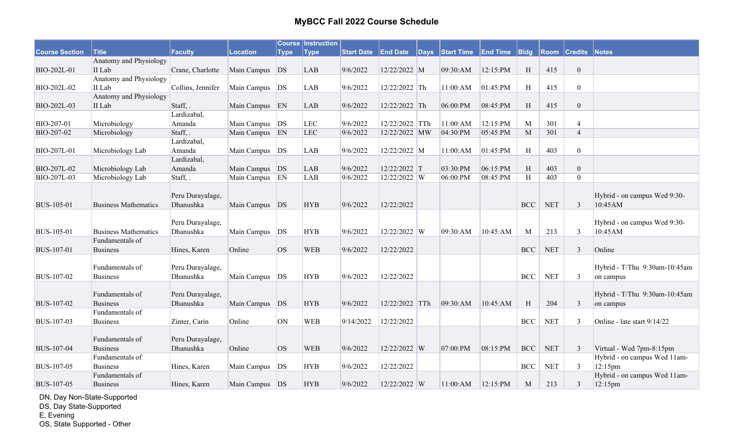|                       |                             |                   |                  |             | <b>Course Instruction</b> |                   |                 |              |                   |                 |            |            |                     |                               |
|-----------------------|-----------------------------|-------------------|------------------|-------------|---------------------------|-------------------|-----------------|--------------|-------------------|-----------------|------------|------------|---------------------|-------------------------------|
| <b>Course Section</b> | <b>Title</b>                | Faculty           | <b>Location</b>  | <b>Type</b> | <b>Type</b>               | <b>Start Date</b> | <b>End Date</b> | $\vert$ Days | <b>Start Time</b> | <b>End Time</b> | B          |            | <b>Room Credits</b> | <b>Notes</b>                  |
|                       | Anatomy and Physiology      |                   |                  |             |                           |                   |                 |              |                   |                 |            |            |                     |                               |
| BIO-202L-01           | II Lab                      | Crane, Charlotte  | Main Campus DS   |             | LAB                       | 9/6/2022          | 12/22/2022 M    |              | 09:30:AM          | 12:15:PM        | H          | 415        | $\mathbf{0}$        |                               |
|                       | Anatomy and Physiology      |                   |                  |             |                           |                   |                 |              |                   |                 |            |            |                     |                               |
| BIO-202L-02           | II Lab                      | Collins, Jennifer | Main Campus   DS |             | <b>LAB</b>                | 9/6/2022          | 12/22/2022 Th   |              | 11:00:AM          | 01:45:PM        | H          | 415        | $\mathbf{0}$        |                               |
|                       | Anatomy and Physiology      |                   |                  |             |                           |                   |                 |              |                   |                 |            |            |                     |                               |
| BIO-202L-03           | II Lab                      | Staff, .          | Main Campus EN   |             | <b>LAB</b>                | 9/6/2022          | 12/22/2022 Th   |              | 06:00:PM          | 08:45:PM        | H          | 415        | $\mathbf{0}$        |                               |
|                       |                             | Lardizabal,       |                  |             |                           |                   |                 |              |                   |                 |            |            |                     |                               |
| BIO-207-01            | Microbiology                | Amanda            | Main Campus DS   |             | LEC                       | 9/6/2022          | 12/22/2022 TTh  |              | 11:00:AM          | 12:15:PM        | M          | 301        | $\overline{4}$      |                               |
| BIO-207-02            | Microbiology                | Staff, .          | Main Campus EN   |             | <b>LEC</b>                | 9/6/2022          | 12/22/2022 MW   |              | 04:30:PM          | 05:45:PM        | M          | 301        | $\overline{4}$      |                               |
|                       |                             | Lardizabal,       |                  |             |                           |                   |                 |              |                   |                 |            |            |                     |                               |
| BIO-207L-01           | Microbiology Lab            | Amanda            | Main Campus   DS |             | <b>LAB</b>                | 9/6/2022          | 12/22/2022 M    |              | 11:00:AM          | 01:45:PM        | H          | 403        | $\overline{0}$      |                               |
|                       |                             | Lardizabal,       |                  |             |                           |                   |                 |              |                   |                 |            |            |                     |                               |
| BIO-207L-02           | Microbiology Lab            | Amanda            | Main Campus DS   |             | LAB                       | 9/6/2022          | 12/22/2022 T    |              | 03:30:PM          | 06:15:PM        | H          | 403        | $\mathbf{0}$        |                               |
| BIO-207L-03           | Microbiology Lab            | Staff,.           | Main Campus EN   |             | LAB                       | 9/6/2022          | 12/22/2022 W    |              | 06:00:PM          | 08:45:PM        | H          | 403        | $\theta$            |                               |
|                       |                             |                   |                  |             |                           |                   |                 |              |                   |                 |            |            |                     |                               |
|                       |                             | Peru Durayalage,  |                  |             |                           |                   |                 |              |                   |                 |            |            |                     | Hybrid - on campus Wed 9:30-  |
| <b>BUS-105-01</b>     | <b>Business Mathematics</b> | Dhanushka         | Main Campus DS   |             | <b>HYB</b>                | 9/6/2022          | 12/22/2022      |              |                   |                 | <b>BCC</b> | <b>NET</b> | $\overline{3}$      | 10:45AM                       |
|                       |                             |                   |                  |             |                           |                   |                 |              |                   |                 |            |            |                     |                               |
|                       |                             | Peru Durayalage,  |                  |             |                           |                   |                 |              |                   |                 |            |            |                     | Hybrid - on campus Wed 9:30-  |
| <b>BUS-105-01</b>     | <b>Business Mathematics</b> | Dhanushka         | Main Campus DS   |             | <b>HYB</b>                | 9/6/2022          | 12/22/2022 W    |              | 09:30:AM          | 10:45:AM        | M          | 213        | $\mathbf{3}$        | 10:45AM                       |
|                       | Fundamentals of             |                   |                  |             |                           |                   |                 |              |                   |                 |            |            |                     |                               |
| <b>BUS-107-01</b>     | <b>Business</b>             | Hines, Karen      | Online           | <b>OS</b>   | <b>WEB</b>                | 9/6/2022          | 12/22/2022      |              |                   |                 | <b>BCC</b> | <b>NET</b> | $\mathfrak{Z}$      | Online                        |
|                       |                             |                   |                  |             |                           |                   |                 |              |                   |                 |            |            |                     |                               |
|                       | Fundamentals of             | Peru Durayalage,  |                  |             |                           |                   |                 |              |                   |                 |            |            |                     | Hybrid - T/Thu 9:30am-10:45am |
| <b>BUS-107-02</b>     | <b>Business</b>             | Dhanushka         | Main Campus DS   |             | <b>HYB</b>                | 9/6/2022          | 12/22/2022      |              |                   |                 | <b>BCC</b> | <b>NET</b> | $\mathfrak{Z}$      | on campus                     |
|                       |                             |                   |                  |             |                           |                   |                 |              |                   |                 |            |            |                     |                               |
|                       | Fundamentals of             | Peru Durayalage,  |                  |             |                           |                   |                 |              |                   |                 |            |            |                     | Hybrid - T/Thu 9:30am-10:45am |
| <b>BUS-107-02</b>     | <b>Business</b>             | Dhanushka         | Main Campus DS   |             | <b>HYB</b>                | 9/6/2022          | 12/22/2022 TTh  |              | 09:30:AM          | 10:45:AM        | H          | 204        | $\mathfrak{Z}$      | on campus                     |
|                       | Fundamentals of             |                   |                  |             |                           |                   |                 |              |                   |                 |            |            |                     |                               |
| <b>BUS-107-03</b>     | <b>Business</b>             | Zinter, Carin     | Online           | ON          | <b>WEB</b>                | 9/14/2022         | 12/22/2022      |              |                   |                 | <b>BCC</b> | <b>NET</b> | $\mathfrak{Z}$      | Online - late start 9/14/22   |
|                       |                             |                   |                  |             |                           |                   |                 |              |                   |                 |            |            |                     |                               |
|                       | Fundamentals of             | Peru Durayalage,  |                  |             |                           |                   |                 |              |                   |                 |            |            |                     |                               |
| <b>BUS-107-04</b>     | <b>Business</b>             | Dhanushka         | Online           | <b>OS</b>   | <b>WEB</b>                | 9/6/2022          | 12/22/2022 W    |              | 07:00:PM          | 08:15:PM        | <b>BCC</b> | <b>NET</b> | 3                   | Virtual - Wed 7pm-8:15pm      |
|                       | Fundamentals of             |                   |                  |             |                           |                   |                 |              |                   |                 |            |            |                     | Hybrid - on campus Wed 11am-  |
| <b>BUS-107-05</b>     | <b>Business</b>             | Hines, Karen      | Main Campus      | DS          | <b>HYB</b>                | 9/6/2022          | 12/22/2022      |              |                   |                 | <b>BCC</b> | <b>NET</b> | 3                   | $12:15$ pm                    |
|                       | Fundamentals of             |                   |                  |             |                           |                   |                 |              |                   |                 |            |            |                     | Hybrid - on campus Wed 11am-  |
| <b>BUS-107-05</b>     | <b>Business</b>             | Hines, Karen      | Main Campus DS   |             | <b>HYB</b>                | 9/6/2022          | 12/22/2022 W    |              | 11:00:AM          | 12:15:PM        | M          | 213        | $\mathfrak{Z}$      | $ 12:15$ pm                   |

DN, Day Non-State-Supported

DS, Day State-Supported

E, Evening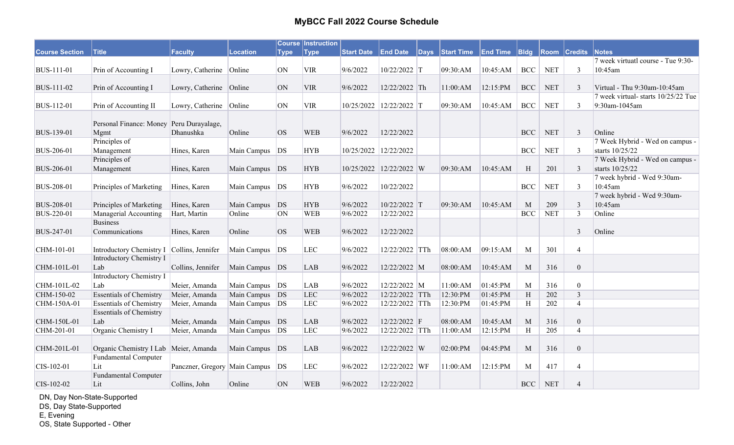|                       |                                            |                               |                  |             | <b>Course Instruction</b> |                   |                         |              |                   |                 |                  |            |                     |                                    |
|-----------------------|--------------------------------------------|-------------------------------|------------------|-------------|---------------------------|-------------------|-------------------------|--------------|-------------------|-----------------|------------------|------------|---------------------|------------------------------------|
| <b>Course Section</b> | <b>Title</b>                               | <b>Faculty</b>                | <b>Location</b>  | <b>Type</b> | <b>Type</b>               | <b>Start Date</b> | <b>End Date</b>         | $\vert$ Days | <b>Start Time</b> | <b>End Time</b> | B <sub>ldg</sub> |            | <b>Room Credits</b> | <b>Notes</b>                       |
|                       |                                            |                               |                  |             |                           |                   |                         |              |                   |                 |                  |            |                     | 7 week virtuatl course - Tue 9:30- |
| <b>BUS-111-01</b>     | Prin of Accounting I                       | Lowry, Catherine Online       |                  | ON          | <b>VIR</b>                | 9/6/2022          | 10/22/2022 T            |              | 09:30:AM          | 10:45:AM        | <b>BCC</b>       | <b>NET</b> | $\mathbf{3}$        | 10:45am                            |
|                       |                                            |                               |                  |             |                           |                   |                         |              |                   |                 |                  |            |                     |                                    |
| BUS-111-02            | Prin of Accounting I                       | Lowry, Catherine Online       |                  | ON          | <b>VIR</b>                | 9/6/2022          | 12/22/2022 Th           |              | 11:00:AM          | 12:15:PM        | <b>BCC</b>       | <b>NET</b> | 3                   | Virtual - Thu 9:30am-10:45am       |
|                       |                                            |                               |                  |             |                           |                   |                         |              |                   |                 |                  |            |                     | 7 week virtual-starts 10/25/22 Tue |
| BUS-112-01            | Prin of Accounting II                      | Lowry, Catherine Online       |                  | ON          | <b>VIR</b>                |                   | 10/25/2022 12/22/2022 T |              | 09:30:AM          | 10:45:AM        | BCC              | <b>NET</b> | $\overline{3}$      | 9:30am-1045am                      |
|                       |                                            |                               |                  |             |                           |                   |                         |              |                   |                 |                  |            |                     |                                    |
|                       | Personal Finance: Money Peru Durayalage,   |                               |                  |             |                           |                   |                         |              |                   |                 |                  |            |                     |                                    |
| <b>BUS-139-01</b>     | Mgmt                                       | Dhanushka                     | Online           | OS          | <b>WEB</b>                | 9/6/2022          | 12/22/2022              |              |                   |                 | <b>BCC</b>       | <b>NET</b> | $\mathfrak{Z}$      | Online                             |
|                       | Principles of                              |                               |                  |             |                           |                   |                         |              |                   |                 |                  |            |                     | 7 Week Hybrid - Wed on campus -    |
| <b>BUS-206-01</b>     | Management                                 | Hines, Karen                  | Main Campus   DS |             | <b>HYB</b>                |                   | 10/25/2022 12/22/2022   |              |                   |                 | <b>BCC</b>       | <b>NET</b> | 3                   | starts 10/25/22                    |
|                       | Principles of                              |                               |                  |             |                           |                   |                         |              |                   |                 |                  |            |                     | 7 Week Hybrid - Wed on campus -    |
| <b>BUS-206-01</b>     | Management                                 | Hines, Karen                  | Main Campus DS   |             | <b>HYB</b>                |                   | 10/25/2022 12/22/2022 W |              | 09:30:AM          | 10:45:AM        | H                | 201        | 3                   | starts 10/25/22                    |
|                       |                                            |                               |                  |             |                           |                   |                         |              |                   |                 |                  |            |                     | 7 week hybrid - Wed 9:30am-        |
| <b>BUS-208-01</b>     | Principles of Marketing                    | Hines, Karen                  | Main Campus   DS |             | <b>HYB</b>                | 9/6/2022          | 10/22/2022              |              |                   |                 | <b>BCC</b>       | <b>NET</b> | 3                   | 10:45am                            |
|                       |                                            |                               |                  |             |                           |                   |                         |              |                   |                 |                  |            |                     | 7 week hybrid - Wed 9:30am-        |
| <b>BUS-208-01</b>     | Principles of Marketing                    | Hines, Karen                  | Main Campus      | DS          | <b>HYB</b>                | 9/6/2022          | 10/22/2022 T            |              | 09:30:AM          | 10:45:AM        | M                | 209        | 3                   | 10:45am                            |
| BUS-220-01            | Managerial Accounting                      | Hart, Martin                  | Online           | <b>ON</b>   | <b>WEB</b>                | 9/6/2022          | 12/22/2022              |              |                   |                 | <b>BCC</b>       | <b>NET</b> | $\overline{3}$      | Online                             |
|                       | <b>Business</b>                            |                               |                  |             |                           |                   |                         |              |                   |                 |                  |            |                     |                                    |
| BUS-247-01            | Communications                             | Hines, Karen                  | Online           | <b>OS</b>   | <b>WEB</b>                | 9/6/2022          | 12/22/2022              |              |                   |                 |                  |            | $\overline{3}$      | Online                             |
|                       |                                            |                               |                  |             |                           |                   |                         |              |                   |                 |                  |            |                     |                                    |
| CHM-101-01            | Introductory Chemistry I Collins, Jennifer |                               | Main Campus DS   |             | LEC                       | 9/6/2022          | 12/22/2022 TTh          |              | 08:00:AM          | 09:15:AM        | M                | 301        | $\overline{4}$      |                                    |
|                       | Introductory Chemistry I                   |                               |                  |             |                           |                   |                         |              |                   |                 |                  |            |                     |                                    |
| CHM-101L-01           | Lab                                        | Collins, Jennifer             | Main Campus DS   |             | <b>LAB</b>                | 9/6/2022          | 12/22/2022 M            |              | 08:00:AM          | 10:45:AM        | M                | 316        | $\boldsymbol{0}$    |                                    |
|                       | Introductory Chemistry I                   |                               |                  |             |                           |                   |                         |              |                   |                 |                  |            |                     |                                    |
| CHM-101L-02           | Lab                                        | Meier, Amanda                 | Main Campus DS   |             | LAB                       | 9/6/2022          | 12/22/2022 M            |              | 11:00:AM          | 01:45:PM        | M                | 316        | $\boldsymbol{0}$    |                                    |
| CHM-150-02            | <b>Essentials of Chemistry</b>             | Meier, Amanda                 | Main Campus DS   |             | <b>LEC</b>                | 9/6/2022          | 12/22/2022 TTh          |              | 12:30:PM          | 01:45:PM        | H                | 202        | $\overline{3}$      |                                    |
| CHM-150A-01           | <b>Essentials of Chemistry</b>             | Meier, Amanda                 | Main Campus   DS |             | <b>LEC</b>                | 9/6/2022          | 12/22/2022 TTh          |              | 12:30:PM          | 01:45:PM        | H                | 202        | $\overline{4}$      |                                    |
|                       | <b>Essentials of Chemistry</b>             |                               |                  |             |                           |                   |                         |              |                   |                 |                  |            |                     |                                    |
| CHM-150L-01           | Lab                                        | Meier, Amanda                 | Main Campus DS   |             | LAB                       | 9/6/2022          | 12/22/2022 F            |              | 08:00:AM          | 10:45:AM        | M                | 316        | $\boldsymbol{0}$    |                                    |
| CHM-201-01            | Organic Chemistry I                        | Meier, Amanda                 | Main Campus   DS |             | <b>LEC</b>                | 9/6/2022          | 12/22/2022 TTh          |              | 11:00:AM          | 12:15:PM        | H                | 205        | $\overline{4}$      |                                    |
|                       |                                            |                               |                  |             |                           |                   |                         |              |                   |                 |                  |            |                     |                                    |
| CHM-201L-01           | Organic Chemistry I Lab Meier, Amanda      |                               | Main Campus DS   |             | <b>LAB</b>                | 9/6/2022          | 12/22/2022 W            |              | 02:00:PM          | 04:45:PM        | M                | 316        | $\mathbf{0}$        |                                    |
|                       | <b>Fundamental Computer</b>                |                               |                  |             |                           |                   |                         |              |                   |                 |                  |            |                     |                                    |
| CIS-102-01            | Lit                                        | Panczner, Gregory Main Campus |                  | DS          | <b>LEC</b>                | 9/6/2022          | 12/22/2022 WF           |              | 11:00:AM          | 12:15:PM        | M                | 417        | $\overline{4}$      |                                    |
|                       | <b>Fundamental Computer</b>                |                               |                  |             |                           |                   |                         |              |                   |                 |                  |            |                     |                                    |
| CIS-102-02            | Lit                                        | Collins, John                 | Online           | <b>ON</b>   | <b>WEB</b>                | 9/6/2022          | 12/22/2022              |              |                   |                 | <b>BCC</b>       | <b>NET</b> | $\overline{4}$      |                                    |

DN, Day Non-State-Supported

DS, Day State-Supported

E, Evening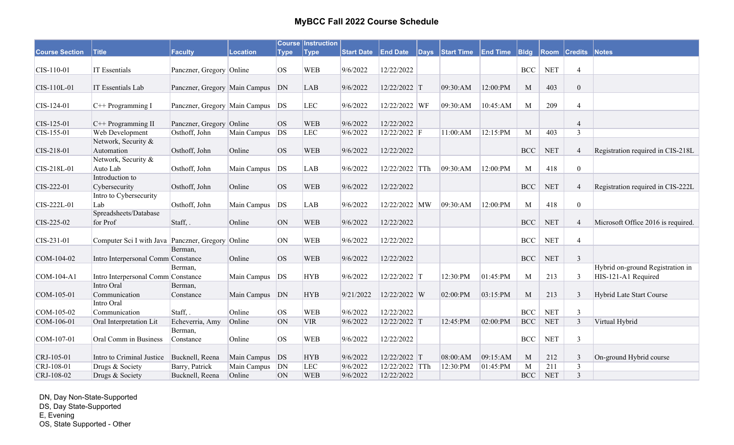|                       |                                                   |                               |                 |             | <b>Course Instruction</b> |                   |                 |              |                   |                 |             |                      |                     |                                    |
|-----------------------|---------------------------------------------------|-------------------------------|-----------------|-------------|---------------------------|-------------------|-----------------|--------------|-------------------|-----------------|-------------|----------------------|---------------------|------------------------------------|
| <b>Course Section</b> | <b>Title</b>                                      | Faculty                       | <b>Location</b> | <b>Type</b> | <b>Type</b>               | <b>Start Date</b> | <b>End Date</b> | $\vert$ Days | <b>Start Time</b> | <b>End Time</b> | <b>Bldg</b> |                      | <b>Room Credits</b> | Notes                              |
|                       |                                                   |                               |                 |             |                           |                   |                 |              |                   |                 |             |                      |                     |                                    |
| $CIS-110-01$          | <b>IT Essentials</b>                              | Panczner, Gregory Online      |                 | <b>OS</b>   | <b>WEB</b>                | 9/6/2022          | 12/22/2022      |              |                   |                 | <b>BCC</b>  | <b>NET</b>           | $\overline{4}$      |                                    |
|                       |                                                   |                               |                 |             |                           |                   |                 |              |                   |                 |             |                      |                     |                                    |
| CIS-110L-01           | IT Essentials Lab                                 | Panczner, Gregory Main Campus |                 | DN          | <b>LAB</b>                | 9/6/2022          | 12/22/2022 T    |              | 09:30:AM          | 12:00:PM        | M           | 403                  | $\boldsymbol{0}$    |                                    |
| CIS-124-01            | $C++$ Programming I                               | Panczner, Gregory Main Campus |                 | DS          | <b>LEC</b>                | 9/6/2022          | 12/22/2022 WF   |              | 09:30:AM          | 10:45:AM        | M           | 209                  | $\overline{4}$      |                                    |
|                       |                                                   |                               |                 |             |                           |                   |                 |              |                   |                 |             |                      |                     |                                    |
| CIS-125-01            | C++ Programming II                                | Panczner, Gregory Online      |                 | OS          | <b>WEB</b>                | 9/6/2022          | 12/22/2022      |              |                   |                 |             |                      | $\overline{4}$      |                                    |
| CIS-155-01            | Web Development                                   | Osthoff, John                 | Main Campus     | <b>DS</b>   | <b>LEC</b>                | 9/6/2022          | 12/22/2022 F    |              | 11:00:AM          | 12:15:PM        | M           | 403                  | $\overline{3}$      |                                    |
|                       | Network, Security &                               |                               |                 |             |                           |                   |                 |              |                   |                 |             |                      |                     |                                    |
| CIS-218-01            | Automation                                        | Osthoff, John                 | Online          | <b>OS</b>   | <b>WEB</b>                | 9/6/2022          | 12/22/2022      |              |                   |                 | <b>BCC</b>  | <b>NET</b>           | $\overline{4}$      | Registration required in CIS-218L  |
|                       | Network, Security &                               |                               |                 |             |                           |                   |                 |              |                   |                 |             |                      |                     |                                    |
| CIS-218L-01           | Auto Lab                                          | Osthoff, John                 | Main Campus     | DS          | <b>LAB</b>                | 9/6/2022          | 12/22/2022 TTh  |              | 09:30:AM          | 12:00:PM        | M           | 418                  | $\mathbf{0}$        |                                    |
|                       | Introduction to                                   |                               |                 |             |                           |                   |                 |              |                   |                 |             |                      |                     |                                    |
| CIS-222-01            | Cybersecurity                                     | Osthoff, John                 | Online          | OS          | <b>WEB</b>                | 9/6/2022          | 12/22/2022      |              |                   |                 | <b>BCC</b>  | $\operatorname{NET}$ | $\overline{4}$      | Registration required in CIS-222L  |
|                       | Intro to Cybersecurity                            |                               |                 |             |                           |                   |                 |              |                   |                 |             |                      |                     |                                    |
| CIS-222L-01           | Lab                                               | Osthoff, John                 | Main Campus     | DS          | LAB                       | 9/6/2022          | 12/22/2022 MW   |              | 09:30:AM          | 12:00:PM        | M           | 418                  | $\mathbf{0}$        |                                    |
|                       | Spreadsheets/Database                             |                               |                 |             |                           |                   |                 |              |                   |                 |             |                      |                     |                                    |
| CIS-225-02            | for Prof                                          | Staff, .                      | Online          | ON          | <b>WEB</b>                | 9/6/2022          | 12/22/2022      |              |                   |                 | <b>BCC</b>  | <b>NET</b>           | $\overline{4}$      | Microsoft Office 2016 is required. |
|                       |                                                   |                               |                 |             |                           |                   |                 |              |                   |                 |             |                      |                     |                                    |
| CIS-231-01            | Computer Sci I with Java Panczner, Gregory Online |                               |                 | ON          | <b>WEB</b>                | 9/6/2022          | 12/22/2022      |              |                   |                 | <b>BCC</b>  | <b>NET</b>           | $\overline{4}$      |                                    |
|                       |                                                   | Berman,                       |                 |             |                           |                   |                 |              |                   |                 |             |                      |                     |                                    |
| COM-104-02            | Intro Interpersonal Comm Constance                |                               | Online          | <b>OS</b>   | <b>WEB</b>                | 9/6/2022          | 12/22/2022      |              |                   |                 | <b>BCC</b>  | $\operatorname{NET}$ | $\overline{3}$      |                                    |
|                       |                                                   | Berman,                       |                 |             |                           |                   |                 |              |                   |                 |             |                      |                     | Hybrid on-ground Registration in   |
| COM-104-A1            | Intro Interpersonal Comm Constance                |                               | Main Campus     | DS          | <b>HYB</b>                | 9/6/2022          | 12/22/2022 T    |              | 12:30:PM          | 01:45:PM        | M           | 213                  | 3                   | HIS-121-A1 Required                |
|                       | Intro Oral                                        | Berman,                       |                 |             |                           |                   |                 |              |                   |                 |             |                      |                     |                                    |
| COM-105-01            | Communication                                     | Constance                     | Main Campus DN  |             | <b>HYB</b>                | 9/21/2022         | 12/22/2022 W    |              | 02:00:PM          | 03:15:PM        | M           | 213                  | $\overline{3}$      | Hybrid Late Start Course           |
|                       | Intro Oral                                        |                               |                 |             |                           |                   |                 |              |                   |                 |             |                      |                     |                                    |
| COM-105-02            | Communication                                     | Staff, .                      | Online          | <b>OS</b>   | <b>WEB</b>                | 9/6/2022          | 12/22/2022      |              |                   |                 | <b>BCC</b>  | <b>NET</b>           | $\mathfrak{Z}$      |                                    |
| COM-106-01            | Oral Interpretation Lit                           | Echeverria, Amy               | Online          | ON          | <b>VIR</b>                | 9/6/2022          | 12/22/2022 T    |              | 12:45:PM          | 02:00:PM        | <b>BCC</b>  | <b>NET</b>           | $\overline{3}$      | Virtual Hybrid                     |
|                       |                                                   | Berman,                       |                 |             |                           |                   |                 |              |                   |                 |             |                      |                     |                                    |
| COM-107-01            | Oral Comm in Business                             | Constance                     | Online          | <b>OS</b>   | <b>WEB</b>                | 9/6/2022          | 12/22/2022      |              |                   |                 | <b>BCC</b>  | <b>NET</b>           | $\overline{3}$      |                                    |
|                       |                                                   |                               |                 |             |                           |                   |                 |              |                   |                 |             |                      |                     |                                    |
| CRJ-105-01            | Intro to Criminal Justice                         | Bucknell, Reena               | Main Campus     | DS          | <b>HYB</b>                | 9/6/2022          | 12/22/2022 T    |              | 08:00:AM          | 09:15:AM        | M           | 212                  | $\overline{3}$      | On-ground Hybrid course            |
| $CRJ-108-01$          | Drugs & Society                                   | Barry, Patrick                | Main Campus     | DN          | LEC                       | 9/6/2022          | 12/22/2022 TTh  |              | 12:30:PM          | 01:45:PM        | M           | 211                  | $\overline{3}$      |                                    |
| CRJ-108-02            | Drugs & Society                                   | Bucknell, Reena               | Online          | <b>ON</b>   | <b>WEB</b>                | 9/6/2022          | 12/22/2022      |              |                   |                 | <b>BCC</b>  | <b>NET</b>           | $\overline{3}$      |                                    |

DN, Day Non-State-Supported DS, Day State-Supported E, Evening OS, State Supported - Other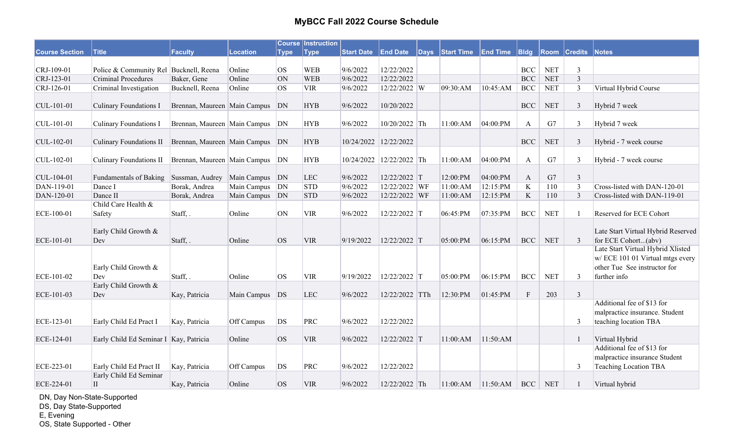|                       |                                        |                                     |                 |             | <b>Course Instruction</b> |                   |                          |                 |                 |                   |            |                |                                                                                                                       |
|-----------------------|----------------------------------------|-------------------------------------|-----------------|-------------|---------------------------|-------------------|--------------------------|-----------------|-----------------|-------------------|------------|----------------|-----------------------------------------------------------------------------------------------------------------------|
| <b>Course Section</b> | <b>Title</b>                           | Faculty                             | <b>Location</b> | <b>Type</b> | <b>Type</b>               | <b>Start Date</b> | <b>End Date</b>          | Days Start Time | <b>End Time</b> | B <sub>ldg</sub>  | Room       | <b>Credits</b> | Notes                                                                                                                 |
|                       |                                        |                                     |                 |             |                           |                   |                          |                 |                 |                   |            |                |                                                                                                                       |
| CRJ-109-01            | Police & Community Rel Bucknell, Reena |                                     | Online          | <b>OS</b>   | <b>WEB</b>                | 9/6/2022          | 12/22/2022               |                 |                 | $BCC$             | <b>NET</b> | $\mathfrak{Z}$ |                                                                                                                       |
| CRJ-123-01            | <b>Criminal Procedures</b>             | Baker, Gene                         | Online          | ON          | <b>WEB</b>                | 9/6/2022          | 12/22/2022               |                 |                 | <b>BCC</b>        | <b>NET</b> | $\overline{3}$ |                                                                                                                       |
| CRJ-126-01            | Criminal Investigation                 | Bucknell, Reena                     | Online          | <b>OS</b>   | <b>VIR</b>                | 9/6/2022          | 12/22/2022 W             | 09:30:AM        | 10:45:AM        | $_{\mathrm{BCC}}$ | <b>NET</b> | $\mathfrak{Z}$ | Virtual Hybrid Course                                                                                                 |
| CUL-101-01            | <b>Culinary Foundations I</b>          | Brennan, Maureen Main Campus        |                 | DN          | <b>HYB</b>                | 9/6/2022          | 10/20/2022               |                 |                 | <b>BCC</b>        | <b>NET</b> | $\mathfrak{Z}$ | Hybrid 7 week                                                                                                         |
| CUL-101-01            | <b>Culinary Foundations I</b>          | Brennan, Maureen   Main Campus   DN |                 |             | <b>HYB</b>                | 9/6/2022          | 10/20/2022 Th            | 11:00:AM        | 04:00:PM        | $\mathbf{A}$      | G7         | $\mathfrak{Z}$ | Hybrid 7 week                                                                                                         |
| $ CUL-102-01$         | Culinary Foundations II                | Brennan, Maureen Main Campus DN     |                 |             | <b>HYB</b>                |                   | 10/24/2022 12/22/2022    |                 |                 | <b>BCC</b>        | <b>NET</b> | 3              | Hybrid - 7 week course                                                                                                |
| CUL-102-01            | Culinary Foundations II                | Brennan, Maureen Main Campus DN     |                 |             | <b>HYB</b>                |                   | 10/24/2022 12/22/2022 Th | 11:00:AM        | 04:00:PM        | $\mathbf{A}$      | G7         | $\mathfrak{Z}$ | Hybrid - 7 week course                                                                                                |
| CUL-104-01            | Fundamentals of Baking                 | Sussman, Audrey                     | Main Campus DN  |             | <b>LEC</b>                | 9/6/2022          | 12/22/2022 T             | 12:00:PM        | 04:00:PM        | $\mathbf{A}$      | G7         | $\mathfrak{Z}$ |                                                                                                                       |
| DAN-119-01            | Dance I                                | Borak, Andrea                       | Main Campus     | DN          | <b>STD</b>                | 9/6/2022          | 12/22/2022 WF            | 11:00:AM        | 12:15:PM        | $\bf K$           | 110        | $\overline{3}$ | Cross-listed with DAN-120-01                                                                                          |
| DAN-120-01            | Dance II                               | Borak, Andrea                       | Main Campus DN  |             | <b>STD</b>                | 9/6/2022          | 12/22/2022 WF            | 11:00:AM        | 12:15:PM        | $\rm K$           | 110        | $\overline{3}$ | Cross-listed with DAN-119-01                                                                                          |
| ECE-100-01            | Child Care Health &<br>Safety          | Staff, .                            | Online          | <b>ON</b>   | <b>VIR</b>                | 9/6/2022          | 12/22/2022 T             | 06:45:PM        | 07:35:PM        | BCC               | <b>NET</b> |                | Reserved for ECE Cohort                                                                                               |
| ECE-101-01            | Early Child Growth &<br>Dev            | Staff, .                            | Online          | <b>OS</b>   | <b>VIR</b>                | 9/19/2022         | 12/22/2022 T             | 05:00:PM        | 06:15:PM        | <b>BCC</b>        | <b>NET</b> | 3              | Late Start Virtual Hybrid Reserved<br>for ECE Cohort(abv)                                                             |
| ECE-101-02            | Early Child Growth &<br>Dev            | Staff,.                             | Online          | <b>los</b>  | <b>VIR</b>                | 9/19/2022         | 12/22/2022 T             | 05:00:PM        | 06:15:PM        | <b>BCC</b>        | <b>NET</b> | $\overline{3}$ | Late Start Virtual Hybrid Xlisted<br>w/ ECE 101 01 Virtual mtgs every<br>other Tue See instructor for<br>further info |
|                       | Early Child Growth &                   |                                     |                 |             |                           |                   |                          |                 |                 |                   |            |                |                                                                                                                       |
| ECE-101-03            | Dev                                    | Kay, Patricia                       | Main Campus     | DS          | <b>LEC</b>                | 9/6/2022          | 12/22/2022 TTh           | 12:30:PM        | 01:45:PM        | $\mathbf F$       | 203        | $\overline{3}$ |                                                                                                                       |
| ECE-123-01            | Early Child Ed Pract I                 | Kay, Patricia                       | Off Campus      | DS          | PRC                       | 9/6/2022          | 12/22/2022               |                 |                 |                   |            | 3              | Additional fee of \$13 for<br>malpractice insurance. Student<br>teaching location TBA                                 |
| ECE-124-01            | Early Child Ed Seminar I Kay, Patricia |                                     | Online          | OS          | <b>VIR</b>                | 9/6/2022          | 12/22/2022 T             | 11:00:AM        | 11:50:AM        |                   |            | $\mathbf{1}$   | Virtual Hybrid                                                                                                        |
| ECE-223-01            | Early Child Ed Pract II                | Kay, Patricia                       | Off Campus      | DS          | PRC                       | 9/6/2022          | 12/22/2022               |                 |                 |                   |            | 3              | Additional fee of \$13 for<br>malpractice insurance Student<br>Teaching Location TBA                                  |
|                       | Early Child Ed Seminar                 |                                     |                 |             |                           |                   |                          |                 |                 |                   |            |                |                                                                                                                       |
| ECE-224-01            | $\mathbf{I}$                           | Kay, Patricia                       | Online          | OS          | <b>VIR</b>                | 9/6/2022          | 12/22/2022 Th            | 11:00:AM        | 11:50:AM        | <b>BCC</b>        | <b>NET</b> |                | Virtual hybrid                                                                                                        |

DN, Day Non-State-Supported

DS, Day State-Supported

E, Evening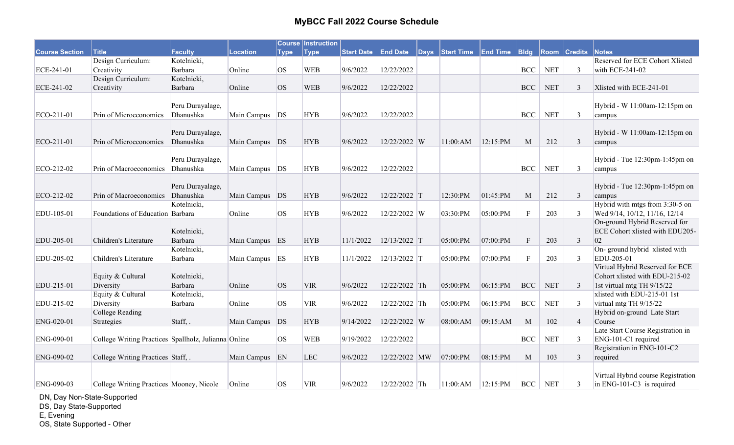|                       |                                                      |                  |                 |             | <b>Course Instruction</b> |           |               |                                              |          |              |            |                     |                                    |
|-----------------------|------------------------------------------------------|------------------|-----------------|-------------|---------------------------|-----------|---------------|----------------------------------------------|----------|--------------|------------|---------------------|------------------------------------|
| <b>Course Section</b> | $ $ Title                                            | Faculty          | <b>Location</b> | <b>Type</b> | <b>Type</b>               |           |               | Start Date End Date Days Start Time End Time |          | $ B $ dg     |            | <b>Room Credits</b> | <b>Notes</b>                       |
|                       | Design Curriculum:                                   | Kotelnicki,      |                 |             |                           |           |               |                                              |          |              |            |                     | Reserved for ECE Cohort Xlisted    |
| ECE-241-01            | Creativity                                           | Barbara          | Online          | <b>OS</b>   | <b>WEB</b>                | 9/6/2022  | 12/22/2022    |                                              |          | <b>BCC</b>   | <b>NET</b> | $\overline{3}$      | with ECE-241-02                    |
|                       | Design Curriculum:                                   | Kotelnicki,      |                 |             |                           |           |               |                                              |          |              |            |                     |                                    |
| ECE-241-02            | Creativity                                           | Barbara          | Online          | <b>OS</b>   | <b>WEB</b>                | 9/6/2022  | 12/22/2022    |                                              |          | <b>BCC</b>   | <b>NET</b> | 3                   | Xlisted with ECE-241-01            |
|                       |                                                      |                  |                 |             |                           |           |               |                                              |          |              |            |                     |                                    |
|                       |                                                      | Peru Durayalage, |                 |             |                           |           |               |                                              |          |              |            |                     | Hybrid - W 11:00am-12:15pm on      |
| ECO-211-01            | Prin of Microeconomics                               | Dhanushka        | Main Campus DS  |             | <b>HYB</b>                | 9/6/2022  | 12/22/2022    |                                              |          | <b>BCC</b>   | <b>NET</b> | 3                   | campus                             |
|                       |                                                      |                  |                 |             |                           |           |               |                                              |          |              |            |                     |                                    |
|                       |                                                      | Peru Durayalage, |                 |             |                           |           |               |                                              |          |              |            |                     | Hybrid - W 11:00am-12:15pm on      |
| ECO-211-01            | Prin of Microeconomics                               | Dhanushka        | Main Campus DS  |             | <b>HYB</b>                | 9/6/2022  | 12/22/2022 W  | 11:00:AM                                     | 12:15:PM | M            | 212        | $\mathfrak{Z}$      | campus                             |
|                       |                                                      |                  |                 |             |                           |           |               |                                              |          |              |            |                     |                                    |
|                       |                                                      | Peru Durayalage, |                 |             |                           |           |               |                                              |          |              |            |                     | Hybrid - Tue 12:30pm-1:45pm on     |
| ECO-212-02            | Prin of Macroeconomics                               | Dhanushka        | Main Campus DS  |             | <b>HYB</b>                | 9/6/2022  | 12/22/2022    |                                              |          | <b>BCC</b>   | <b>NET</b> | $\mathfrak{Z}$      | campus                             |
|                       |                                                      |                  |                 |             |                           |           |               |                                              |          |              |            |                     |                                    |
|                       |                                                      | Peru Durayalage, |                 |             |                           |           |               |                                              |          |              |            |                     | Hybrid - Tue 12:30pm-1:45pm on     |
| ECO-212-02            | Prin of Macroeconomics                               | Dhanushka        | Main Campus DS  |             | <b>HYB</b>                | 9/6/2022  | 12/22/2022 T  | 12:30:PM                                     | 01:45:PM | M            | 212        | $\mathfrak{Z}$      | campus                             |
|                       |                                                      | Kotelnicki,      |                 |             |                           |           |               |                                              |          |              |            |                     | Hybrid with mtgs from 3:30-5 on    |
| EDU-105-01            | Foundations of Education Barbara                     |                  | Online          | <b>OS</b>   | <b>HYB</b>                | 9/6/2022  | 12/22/2022 W  | 03:30:PM                                     | 05:00:PM | $\mathbf F$  | 203        | 3                   | Wed 9/14, 10/12, 11/16, 12/14      |
|                       |                                                      |                  |                 |             |                           |           |               |                                              |          |              |            |                     | On-ground Hybrid Reserved for      |
|                       |                                                      | Kotelnicki,      |                 |             |                           |           |               |                                              |          |              |            |                     | ECE Cohort xlisted with EDU205-    |
| EDU-205-01            | Children's Literature                                | Barbara          | Main Campus ES  |             | <b>HYB</b>                | 11/1/2022 | 12/13/2022 T  | 05:00:PM                                     | 07:00:PM | $\mathbf{F}$ | 203        | $\mathfrak{Z}$      | 02                                 |
|                       |                                                      | Kotelnicki,      |                 |             |                           |           |               |                                              |          |              |            |                     | On- ground hybrid xlisted with     |
| EDU-205-02            | Children's Literature                                | Barbara          | Main Campus     | ES          | <b>HYB</b>                | 11/1/2022 | 12/13/2022 T  | 05:00:PM                                     | 07:00:PM | $\mathbf{F}$ | 203        | 3                   | EDU-205-01                         |
|                       |                                                      |                  |                 |             |                           |           |               |                                              |          |              |            |                     | Virtual Hybrid Reserved for ECE    |
|                       | Equity & Cultural                                    | Kotelnicki,      |                 |             |                           |           |               |                                              |          |              |            |                     | Cohort xlisted with EDU-215-02     |
| EDU-215-01            | Diversity                                            | Barbara          | Online          | <b>OS</b>   | <b>VIR</b>                | 9/6/2022  | 12/22/2022 Th | 05:00:PM                                     | 06:15:PM | <b>BCC</b>   | <b>NET</b> | 3                   | 1st virtual mtg TH 9/15/22         |
|                       | Equity & Cultural                                    | Kotelnicki,      |                 |             |                           |           |               |                                              |          |              |            |                     | xlisted with EDU-215-01 1st        |
| EDU-215-02            | Diversity                                            | Barbara          | Online          | <b>OS</b>   | <b>VIR</b>                | 9/6/2022  | 12/22/2022 Th | 05:00:PM                                     | 06:15:PM | <b>BCC</b>   | <b>NET</b> | $\mathfrak{Z}$      | virtual mtg TH 9/15/22             |
|                       | <b>College Reading</b>                               |                  |                 |             |                           |           |               |                                              |          |              |            |                     | Hybrid on-ground Late Start        |
| ENG-020-01            | Strategies                                           | Staff, .         | Main Campus     | DS          | <b>HYB</b>                | 9/14/2022 | 12/22/2022 W  | 08:00:AM                                     | 09:15:AM | M            | 102        | $\overline{4}$      | Course                             |
|                       |                                                      |                  |                 |             |                           |           |               |                                              |          |              |            |                     | Late Start Course Registration in  |
| ENG-090-01            | College Writing Practices Spallholz, Julianna Online |                  |                 | <b>OS</b>   | <b>WEB</b>                | 9/19/2022 | 12/22/2022    |                                              |          | <b>BCC</b>   | <b>NET</b> | 3                   | ENG-101-C1 required                |
|                       |                                                      |                  |                 |             |                           |           |               |                                              |          |              |            |                     | Registration in ENG-101-C2         |
| ENG-090-02            | College Writing Practices Staff, .                   |                  | Main Campus     | EN          | <b>LEC</b>                | 9/6/2022  | 12/22/2022 MW | 07:00:PM                                     | 08:15:PM | M            | 103        | $\mathfrak{Z}$      | required                           |
|                       |                                                      |                  |                 |             |                           |           |               |                                              |          |              |            |                     |                                    |
|                       |                                                      |                  |                 |             |                           |           |               |                                              |          |              |            |                     | Virtual Hybrid course Registration |
| ENG-090-03            | College Writing Practices Mooney, Nicole             |                  | Online          | <b>OS</b>   | <b>VIR</b>                | 9/6/2022  | 12/22/2022 Th | 11:00:AM                                     | 12:15:PM | BCC          | <b>NET</b> | 3                   | $\ln$ ENG-101-C3 is required       |

DN, Day Non-State-Supported

DS, Day State-Supported

E, Evening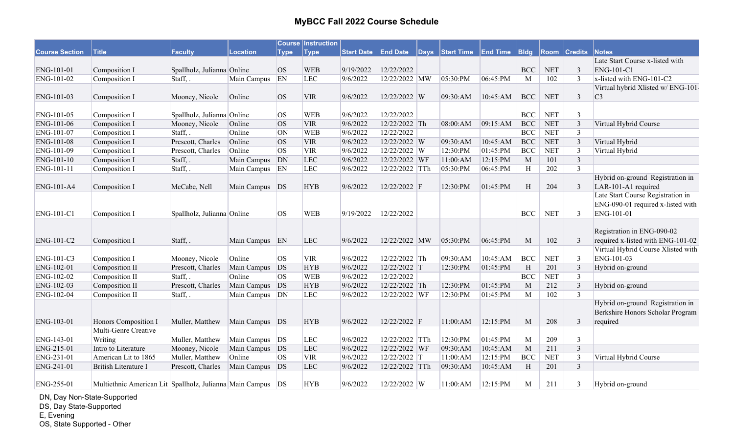|                       |                                                             |                            |             |             | <b>Course Instruction</b> |                   |                 |                 |                 |              |            |                     |                                    |
|-----------------------|-------------------------------------------------------------|----------------------------|-------------|-------------|---------------------------|-------------------|-----------------|-----------------|-----------------|--------------|------------|---------------------|------------------------------------|
| <b>Course Section</b> | <b>Title</b>                                                | <b>Faculty</b>             | Location    | <b>Type</b> | <b>Type</b>               | <b>Start Date</b> | <b>End Date</b> | Days Start Time | <b>End Time</b> | $ B $ dg     |            | <b>Room Credits</b> | Notes                              |
|                       |                                                             |                            |             |             |                           |                   |                 |                 |                 |              |            |                     | Late Start Course x-listed with    |
| ENG-101-01            | Composition I                                               | Spallholz, Julianna Online |             | OS          | <b>WEB</b>                | 9/19/2022         | 12/22/2022      |                 |                 | <b>BCC</b>   | <b>NET</b> | $\overline{3}$      | ENG-101-C1                         |
| ENG-101-02            | Composition I                                               | Staff,.                    | Main Campus | EN          | <b>LEC</b>                | 9/6/2022          | 12/22/2022 MW   | 05:30:PM        | 06:45:PM        | M            | 102        | 3                   | x-listed with ENG-101-C2           |
|                       |                                                             |                            |             |             |                           |                   |                 |                 |                 |              |            |                     | Virtual hybrid Xlisted w/ ENG-101  |
| ENG-101-03            | Composition I                                               | Mooney, Nicole             | Online      | <b>OS</b>   | <b>VIR</b>                | 9/6/2022          | 12/22/2022 W    | 09:30:AM        | 10:45:AM        | <b>BCC</b>   | <b>NET</b> | $\mathfrak{Z}$      | C3                                 |
|                       |                                                             |                            |             |             |                           |                   |                 |                 |                 |              |            |                     |                                    |
| ENG-101-05            | Composition I                                               | Spallholz, Julianna Online |             | <b>OS</b>   | <b>WEB</b>                | 9/6/2022          | 12/22/2022      |                 |                 | <b>BCC</b>   | <b>NET</b> | 3                   |                                    |
| ENG-101-06            | Composition I                                               | Mooney, Nicole             | Online      | <b>OS</b>   | <b>VIR</b>                | 9/6/2022          | 12/22/2022 Th   | 08:00:AM        | 09:15:AM        | <b>BCC</b>   | <b>NET</b> | $\overline{3}$      | Virtual Hybrid Course              |
| ENG-101-07            | Composition I                                               | Staff, .                   | Online      | ON          | <b>WEB</b>                | 9/6/2022          | 12/22/2022      |                 |                 | <b>BCC</b>   | <b>NET</b> | 3                   |                                    |
| ENG-101-08            | Composition I                                               | Prescott, Charles          | Online      | <b>OS</b>   | <b>VIR</b>                | 9/6/2022          | 12/22/2022 W    | 09:30:AM        | 10:45:AM        | <b>BCC</b>   | <b>NET</b> | $\overline{3}$      | Virtual Hybrid                     |
| ENG-101-09            | Composition I                                               | Prescott, Charles          | Online      | <b>OS</b>   | <b>VIR</b>                | 9/6/2022          | 12/22/2022 W    | 12:30:PM        | 01:45:PM        | <b>BCC</b>   | <b>NET</b> | $\overline{3}$      | Virtual Hybrid                     |
| ENG-101-10            | Composition I                                               | Staff, .                   | Main Campus | DN          | <b>LEC</b>                | 9/6/2022          | 12/22/2022 WF   | 11:00:AM        | 12:15:PM        | $\mathbf{M}$ | 101        | $\overline{3}$      |                                    |
| ENG-101-11            | Composition I                                               | Staff, .                   | Main Campus | EN          | LEC                       | 9/6/2022          | 12/22/2022 TTh  | 05:30:PM        | 06:45:PM        | H            | 202        | $\overline{3}$      |                                    |
|                       |                                                             |                            |             |             |                           |                   |                 |                 |                 |              |            |                     | Hybrid on-ground Registration in   |
| ENG-101-A4            | Composition I                                               | McCabe, Nell               | Main Campus | DS          | <b>HYB</b>                | 9/6/2022          | 12/22/2022 F    | 12:30:PM        | 01:45:PM        | H            | 204        | 3                   | LAR-101-A1 required                |
|                       |                                                             |                            |             |             |                           |                   |                 |                 |                 |              |            |                     | Late Start Course Registration in  |
|                       |                                                             |                            |             |             |                           |                   |                 |                 |                 |              |            |                     | ENG-090-01 required x-listed with  |
| ENG-101-C1            | Composition I                                               | Spallholz, Julianna Online |             | <b>OS</b>   | <b>WEB</b>                | 9/19/2022         | 12/22/2022      |                 |                 | <b>BCC</b>   | <b>NET</b> | $\mathbf{3}$        | ENG-101-01                         |
|                       |                                                             |                            |             |             |                           |                   |                 |                 |                 |              |            |                     |                                    |
|                       |                                                             |                            |             |             |                           |                   |                 |                 |                 |              |            |                     | Registration in ENG-090-02         |
| ENG-101-C2            | Composition I                                               | Staff, .                   | Main Campus | EN          | <b>LEC</b>                | 9/6/2022          | 12/22/2022 MW   | 05:30:PM        | 06:45:PM        | M            | 102        | $\overline{3}$      | required x-listed with ENG-101-02  |
|                       |                                                             |                            |             |             |                           |                   |                 |                 |                 |              |            |                     | Virtual Hybrid Course Xlisted with |
| ENG-101-C3            | Composition I                                               | Mooney, Nicole             | Online      | <b>OS</b>   | <b>VIR</b>                | 9/6/2022          | 12/22/2022 Th   | 09:30:AM        | 10:45:AM        | <b>BCC</b>   | <b>NET</b> | $\overline{3}$      | ENG-101-03                         |
| ENG-102-01            | Composition II                                              | Prescott, Charles          | Main Campus | DS          | <b>HYB</b>                | 9/6/2022          | 12/22/2022 T    | 12:30:PM        | 01:45:PM        | H            | 201        | $\mathfrak{Z}$      | Hybrid on-ground                   |
| ENG-102-02            | Composition II                                              | Staff,.                    | Online      | <b>OS</b>   | <b>WEB</b>                | 9/6/2022          | 12/22/2022      |                 |                 | <b>BCC</b>   | <b>NET</b> | $\overline{3}$      |                                    |
| ENG-102-03            | Composition II                                              | Prescott, Charles          | Main Campus | DS          | <b>HYB</b>                | 9/6/2022          | 12/22/2022 Th   | 12:30:PM        | 01:45:PM        | M            | 212        | $\overline{3}$      | Hybrid on-ground                   |
| ENG-102-04            | Composition II                                              | Staff,.                    | Main Campus | DN          | <b>LEC</b>                | 9/6/2022          | 12/22/2022 WF   | 12:30:PM        | 01:45:PM        | M            | 102        | $\mathfrak{Z}$      |                                    |
|                       |                                                             |                            |             |             |                           |                   |                 |                 |                 |              |            |                     | Hybrid on-ground Registration in   |
|                       |                                                             |                            |             |             |                           |                   |                 |                 |                 |              |            |                     | Berkshire Honors Scholar Program   |
| ENG-103-01            | Honors Composition I                                        | Muller, Matthew            | Main Campus | DS          | <b>HYB</b>                | 9/6/2022          | 12/22/2022 F    | 11:00:AM        | 12:15:PM        | M            | 208        | $\mathfrak{Z}$      | required                           |
|                       | Multi-Genre Creative                                        |                            |             |             |                           |                   |                 |                 |                 |              |            |                     |                                    |
| ENG-143-01            | Writing                                                     | Muller, Matthew            | Main Campus | DS          | <b>LEC</b>                | 9/6/2022          | 12/22/2022 TTh  | 12:30:PM        | 01:45:PM        | M            | 209        | $\overline{3}$      |                                    |
| ENG-215-01            | Intro to Literature                                         | Mooney, Nicole             | Main Campus | DS          | LEC                       | 9/6/2022          | 12/22/2022 WF   | 09:30:AM        | 10:45:AM        | M            | 211        | $\overline{3}$      |                                    |
| ENG-231-01            | American Lit to 1865                                        | Muller, Matthew            | Online      | <b>OS</b>   | <b>VIR</b>                | 9/6/2022          | 12/22/2022 T    | 11:00:AM        | 12:15:PM        | <b>BCC</b>   | <b>NET</b> | $\mathfrak{Z}$      | Virtual Hybrid Course              |
| ENG-241-01            | <b>British Literature I</b>                                 | Prescott, Charles          | Main Campus | DS          | <b>LEC</b>                | 9/6/2022          | 12/22/2022 TTh  | 09:30:AM        | 10:45:AM        | H            | 201        | $\mathfrak{Z}$      |                                    |
|                       |                                                             |                            |             |             |                           |                   |                 |                 |                 |              |            |                     |                                    |
| ENG-255-01            | Multiethnic American Lit Spallholz, Julianna Main Campus DS |                            |             |             | <b>HYB</b>                | 9/6/2022          | 12/22/2022 W    | 11:00:AM        | 12:15:PM        | M            | 211        | 3                   | Hybrid on-ground                   |

DN, Day Non-State-Supported

DS, Day State-Supported

E, Evening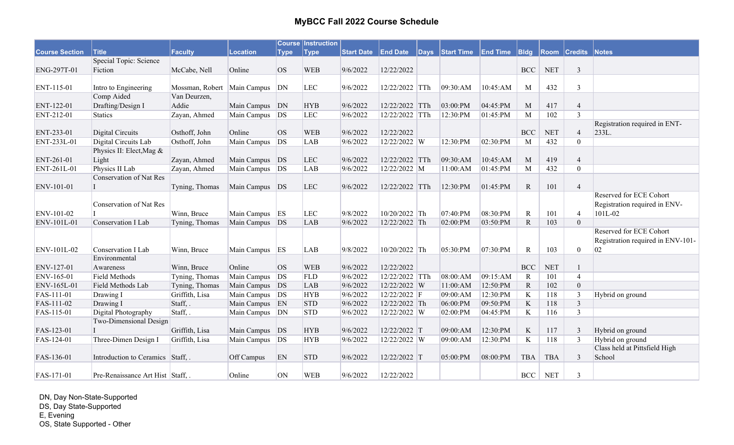|                       |                                  |                 |                  |             | <b>Course Instruction</b> |                   |                 |                 |                 |              |            |                |                                   |
|-----------------------|----------------------------------|-----------------|------------------|-------------|---------------------------|-------------------|-----------------|-----------------|-----------------|--------------|------------|----------------|-----------------------------------|
| <b>Course Section</b> | <b>Title</b>                     | Faculty         | <b>Location</b>  | <b>Type</b> | Type <sup></sup>          | <b>Start Date</b> | <b>End Date</b> | Days Start Time | <b>End Time</b> | <b>Bldg</b>  | Room       | <b>Credits</b> | Notes                             |
|                       | Special Topic: Science           |                 |                  |             |                           |                   |                 |                 |                 |              |            |                |                                   |
| ENG-297T-01           | Fiction                          | McCabe, Nell    | Online           | <b>OS</b>   | <b>WEB</b>                | 9/6/2022          | 12/22/2022      |                 |                 | <b>BCC</b>   | <b>NET</b> | $\mathfrak{Z}$ |                                   |
|                       |                                  |                 |                  |             |                           |                   |                 |                 |                 |              |            |                |                                   |
| ENT-115-01            | Intro to Engineering             | Mossman, Robert | Main Campus      | DN          | <b>LEC</b>                | 9/6/2022          | 12/22/2022 TTh  | 09:30:AM        | 10:45:AM        | M            | 432        | $\mathfrak{Z}$ |                                   |
|                       | Comp Aided                       | Van Deurzen,    |                  |             |                           |                   |                 |                 |                 |              |            |                |                                   |
| ENT-122-01            | Drafting/Design I                | Addie           | Main Campus      | DN          | <b>HYB</b>                | 9/6/2022          | 12/22/2022 TTh  | 03:00:PM        | 04:45:PM        | M            | 417        | $\overline{4}$ |                                   |
| ENT-212-01            | <b>Statics</b>                   | Zayan, Ahmed    | Main Campus      | DS          | <b>LEC</b>                | 9/6/2022          | 12/22/2022 TTh  | 12:30:PM        | 01:45:PM        | M            | 102        | $\overline{3}$ |                                   |
|                       |                                  |                 |                  |             |                           |                   |                 |                 |                 |              |            |                | Registration required in ENT-     |
| ENT-233-01            | Digital Circuits                 | Osthoff, John   | Online           | OS          | <b>WEB</b>                | 9/6/2022          | 12/22/2022      |                 |                 | <b>BCC</b>   | <b>NET</b> | $\overline{4}$ | 233L.                             |
| ENT-233L-01           | Digital Circuits Lab             | Osthoff, John   | Main Campus      | DS          | <b>LAB</b>                | 9/6/2022          | 12/22/2022 W    | 12:30:PM        | 02:30:PM        | M            | 432        | $\mathbf{0}$   |                                   |
|                       | Physics II: Elect, Mag &         |                 |                  |             |                           |                   |                 |                 |                 |              |            |                |                                   |
| ENT-261-01            | Light                            | Zayan, Ahmed    | Main Campus      | DS          | <b>LEC</b>                | 9/6/2022          | 12/22/2022 TTh  | 09:30:AM        | 10:45:AM        | M            | 419        | $\overline{4}$ |                                   |
| ENT-261L-01           | Physics II Lab                   | Zayan, Ahmed    | Main Campus      | DS          | <b>LAB</b>                | 9/6/2022          | 12/22/2022 M    | 11:00:AM        | 01:45:PM        | M            | 432        | $\mathbf{0}$   |                                   |
|                       | <b>Conservation of Nat Res</b>   |                 |                  |             |                           |                   |                 |                 |                 |              |            |                |                                   |
| ENV-101-01            |                                  | Tyning, Thomas  | Main Campus DS   |             | <b>LEC</b>                | 9/6/2022          | 12/22/2022 TTh  | 12:30:PM        | 01:45:PM        | ${\bf R}$    | 101        | $\overline{4}$ |                                   |
|                       |                                  |                 |                  |             |                           |                   |                 |                 |                 |              |            |                | Reserved for ECE Cohort           |
|                       | <b>Conservation of Nat Res</b>   |                 |                  |             |                           |                   |                 |                 |                 |              |            |                | Registration required in ENV-     |
| ENV-101-02            |                                  | Winn, Bruce     | Main Campus      | ES          | <b>LEC</b>                | 9/8/2022          | 10/20/2022 Th   | 07:40:PM        | 08:30:PM        | $\mathbb{R}$ | 101        | $\overline{4}$ | 101L-02                           |
| ENV-101L-01           | Conservation I Lab               | Tyning, Thomas  | Main Campus DS   |             | <b>LAB</b>                | 9/6/2022          | 12/22/2022 Th   | 02:00:PM        | 03:50:PM        | ${\bf R}$    | 103        | $\mathbf{0}$   |                                   |
|                       |                                  |                 |                  |             |                           |                   |                 |                 |                 |              |            |                | Reserved for ECE Cohort           |
|                       |                                  |                 |                  |             |                           |                   |                 |                 |                 |              |            |                | Registration required in ENV-101- |
| ENV-101L-02           | Conservation I Lab               | Winn, Bruce     | Main Campus      | ES          | <b>LAB</b>                | 9/8/2022          | $10/20/2022$ Th | 05:30:PM        | 07:30:PM        | ${\bf R}$    | 103        | $\mathbf{0}$   | 02                                |
|                       | Environmental                    |                 |                  |             |                           |                   |                 |                 |                 |              |            |                |                                   |
| ENV-127-01            | Awareness                        | Winn, Bruce     | Online           | <b>OS</b>   | <b>WEB</b>                | 9/6/2022          | 12/22/2022      |                 |                 | <b>BCC</b>   | <b>NET</b> | 1              |                                   |
| ENV-165-01            | Field Methods                    | Tyning, Thomas  | Main Campus      | DS          | <b>FLD</b>                | 9/6/2022          | 12/22/2022 TTh  | 08:00:AM        | 09:15:AM        | $\mathbf R$  | 101        | $\overline{4}$ |                                   |
| ENV-165L-01           | Field Methods Lab                | Tyning, Thomas  | Main Campus DS   |             | <b>LAB</b>                | 9/6/2022          | 12/22/2022 W    | 11:00:AM        | 12:50:PM        | $\mathbf R$  | 102        | $\mathbf{0}$   |                                   |
| FAS-111-01            | Drawing I                        | Griffith, Lisa  | Main Campus   DS |             | <b>HYB</b>                | 9/6/2022          | 12/22/2022 F    | 09:00:AM        | 12:30:PM        | $\bf K$      | 118        | $\mathfrak{Z}$ | Hybrid on ground                  |
| FAS-111-02            | Drawing I                        | Staff, .        | Main Campus EN   |             | <b>STD</b>                | 9/6/2022          | 12/22/2022 Th   | 06:00:PM        | 09:50:PM        | $\rm K$      | 118        | $\overline{3}$ |                                   |
| FAS-115-01            | Digital Photography              | Staff, .        | Main Campus      | DN          | <b>STD</b>                | 9/6/2022          | 12/22/2022 W    | 02:00:PM        | 04:45:PM        | $\bf K$      | 116        | $\overline{3}$ |                                   |
|                       | Two-Dimensional Design           |                 |                  |             |                           |                   |                 |                 |                 |              |            |                |                                   |
| FAS-123-01            |                                  | Griffith, Lisa  | Main Campus      | DS          | <b>HYB</b>                | 9/6/2022          | 12/22/2022 T    | 09:00:AM        | 12:30:PM        | $\mathbf K$  | 117        | $\mathfrak{Z}$ | Hybrid on ground                  |
| FAS-124-01            | Three-Dimen Design I             | Griffith, Lisa  | Main Campus      | DS          | <b>HYB</b>                | 9/6/2022          | 12/22/2022 W    | 09:00:AM        | 12:30:PM        | $\bf K$      | 118        | $\mathfrak{Z}$ | Hybrid on ground                  |
|                       |                                  |                 |                  |             |                           |                   |                 |                 |                 |              |            |                | Class held at Pittsfield High     |
| FAS-136-01            | Introduction to Ceramics Staff,. |                 | Off Campus       | EN          | <b>STD</b>                | 9/6/2022          | 12/22/2022 T    | 05:00:PM        | 08:00:PM        | <b>TBA</b>   | <b>TBA</b> | 3              | School                            |
|                       |                                  |                 |                  |             |                           |                   |                 |                 |                 |              |            |                |                                   |
| FAS-171-01            | Pre-Renaissance Art Hist Staff,. |                 | Online           | ON          | <b>WEB</b>                | 9/6/2022          | 12/22/2022      |                 |                 | <b>BCC</b>   | <b>NET</b> | 3              |                                   |

DN, Day Non-State-Supported DS, Day State-Supported E, Evening OS, State Supported - Other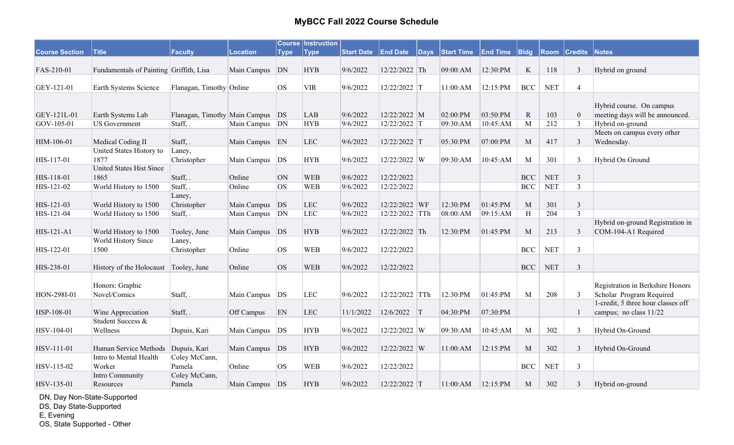|                       |                                         |                                  |                  |             | <b>Course Instruction</b> |                   |                 |              |                   |                 |                  |            |                     |                                                             |
|-----------------------|-----------------------------------------|----------------------------------|------------------|-------------|---------------------------|-------------------|-----------------|--------------|-------------------|-----------------|------------------|------------|---------------------|-------------------------------------------------------------|
| <b>Course Section</b> | <b>Title</b>                            | Faculty                          | <b>Location</b>  | <b>Type</b> | <b>Type</b>               | <b>Start Date</b> | <b>End Date</b> | $\vert$ Days | <b>Start Time</b> | <b>End Time</b> | B <sub>ldg</sub> |            | <b>Room Credits</b> | Notes                                                       |
| FAS-210-01            | Fundamentals of Painting Griffith, Lisa |                                  | Main Campus DN   |             | <b>HYB</b>                | 9/6/2022          | 12/22/2022 Th   |              | 09:00:AM          | 12:30:PM        | $\rm K$          | 118        | $\mathbf{3}$        | Hybrid on ground                                            |
| GEY-121-01            | Earth Systems Science                   | Flanagan, Timothy Online         |                  | <b>OS</b>   | <b>VIR</b>                | 9/6/2022          | 12/22/2022 T    |              | 11:00:AM          | 12:15:PM        | <b>BCC</b>       | <b>NET</b> | $\overline{4}$      |                                                             |
|                       |                                         |                                  |                  |             |                           |                   |                 |              |                   |                 |                  |            |                     |                                                             |
| GEY-121L-01           | Earth Systems Lab                       | Flanagan, Timothy Main Campus DS |                  |             | <b>LAB</b>                | 9/6/2022          | 12/22/2022 M    |              | 02:00:PM          | 03:50:PM        | $\mathbf R$      | 103        | $\boldsymbol{0}$    | Hybrid course. On campus<br>meeting days will be announced. |
| GOV-105-01            | <b>US</b> Government                    | Staff, .                         | Main Campus   DN |             | <b>HYB</b>                | 9/6/2022          | 12/22/2022 T    |              | 09:30:AM          | 10:45:AM        | M                | 212        | 3                   | Hybrid on-ground                                            |
|                       |                                         |                                  |                  |             |                           |                   |                 |              |                   |                 |                  |            |                     | Meets on campus every other                                 |
| HIM-106-01            | Medical Coding II                       | Staff, .                         | Main Campus EN   |             | <b>LEC</b>                | 9/6/2022          | 12/22/2022 T    |              | 05:30:PM          | 07:00:PM        | M                | 417        | $\mathfrak{Z}$      | Wednesday.                                                  |
|                       | United States History to                | Laney,                           |                  |             |                           |                   |                 |              |                   |                 |                  |            |                     |                                                             |
| HIS-117-01            | 1877                                    | Christopher                      | Main Campus   DS |             | <b>HYB</b>                | 9/6/2022          | 12/22/2022 W    |              | 09:30:AM          | 10:45:AM        | M                | 301        | $\overline{3}$      | Hybrid On Ground                                            |
|                       | <b>United States Hist Since</b>         |                                  |                  |             |                           |                   |                 |              |                   |                 |                  |            |                     |                                                             |
| HIS-118-01            | 1865                                    | Staff, .                         | Online           | <b>ON</b>   | <b>WEB</b>                | 9/6/2022          | 12/22/2022      |              |                   |                 | <b>BCC</b>       | <b>NET</b> | $\overline{3}$      |                                                             |
| HIS-121-02            | World History to 1500                   | Staff,.                          | Online           | <b>OS</b>   | <b>WEB</b>                | 9/6/2022          | 12/22/2022      |              |                   |                 | <b>BCC</b>       | <b>NET</b> | $\overline{3}$      |                                                             |
|                       |                                         | Laney,                           |                  |             |                           |                   |                 |              |                   |                 |                  |            |                     |                                                             |
| HIS-121-03            | World History to 1500                   | Christopher                      | Main Campus      | DS          | LEC                       | 9/6/2022          | 12/22/2022 WF   |              | 12:30:PM          | 01:45:PM        | M                | 301        | $\mathfrak{Z}$      |                                                             |
| HIS-121-04            | World History to 1500                   | Staff, .                         | Main Campus      | DN          | LEC                       | 9/6/2022          | 12/22/2022 TTh  |              | 08:00:AM          | 09:15:AM        | H                | 204        | $\overline{3}$      |                                                             |
|                       |                                         |                                  |                  |             |                           |                   |                 |              |                   |                 |                  |            |                     | Hybrid on-ground Registration in                            |
| HIS-121-A1            | World History to 1500                   | Tooley, June                     | Main Campus DS   |             | <b>HYB</b>                | 9/6/2022          | 12/22/2022 Th   |              | 12:30:PM          | 01:45:PM        | M                | 213        | 3                   | COM-104-A1 Required                                         |
|                       | World History Since                     | Laney,                           |                  |             |                           |                   |                 |              |                   |                 |                  |            |                     |                                                             |
| HIS-122-01            | 1500                                    | Christopher                      | Online           | <b>OS</b>   | <b>WEB</b>                | 9/6/2022          | 12/22/2022      |              |                   |                 | <b>BCC</b>       | <b>NET</b> | $\mathbf{3}$        |                                                             |
| HIS-238-01            | History of the Holocaust                | Tooley, June                     | Online           | <b>OS</b>   | <b>WEB</b>                | 9/6/2022          | 12/22/2022      |              |                   |                 | <b>BCC</b>       | <b>NET</b> | 3                   |                                                             |
|                       | Honors: Graphic                         |                                  |                  |             |                           |                   |                 |              |                   |                 |                  |            |                     | Registration in Berkshire Honors                            |
| HON-298I-01           | Novel/Comics                            | Staff, .                         | Main Campus   DS |             | <b>LEC</b>                | 9/6/2022          | 12/22/2022 TTh  |              | 12:30:PM          | 01:45:PM        | M                | 208        | 3                   | Scholar Program Required                                    |
|                       |                                         |                                  |                  |             |                           |                   |                 |              |                   |                 |                  |            |                     | 1-credit, 5 three hour classes off                          |
| HSP-108-01            | Wine Appreciation                       | Staff, .                         | Off Campus       | EN          | <b>LEC</b>                | 11/1/2022         | 12/6/2022       | T            | 04:30:PM          | 07:30:PM        |                  |            | $\mathbf{1}$        | campus; no class 11/22                                      |
|                       | Student Success &                       |                                  |                  |             |                           |                   |                 |              |                   |                 |                  |            |                     |                                                             |
| HSV-104-01            | Wellness                                | Dupuis, Kari                     | Main Campus   DS |             | <b>HYB</b>                | 9/6/2022          | 12/22/2022 W    |              | 09:30:AM          | 10:45:AM        | M                | 302        | 3                   | Hybrid On-Ground                                            |
|                       |                                         |                                  |                  |             |                           |                   |                 |              |                   |                 |                  |            |                     |                                                             |
| HSV-111-01            | Human Service Methods                   | Dupuis, Kari                     | Main Campus DS   |             | <b>HYB</b>                | 9/6/2022          | 12/22/2022 W    |              | 11:00:AM          | 12:15:PM        | M                | 302        | $\mathbf{3}$        | Hybrid On-Ground                                            |
|                       | Intro to Mental Health                  | Coley McCann,                    |                  |             |                           |                   |                 |              |                   |                 |                  |            |                     |                                                             |
| HSV-115-02            | Worker                                  | Pamela                           | Online           | <b>OS</b>   | <b>WEB</b>                | 9/6/2022          | 12/22/2022      |              |                   |                 | <b>BCC</b>       | <b>NET</b> | $\overline{3}$      |                                                             |
|                       | Intro Community                         | Coley McCann,                    |                  |             |                           |                   |                 |              |                   |                 |                  |            |                     |                                                             |
| HSV-135-01            | Resources                               | Pamela                           | Main Campus DS   |             | <b>HYB</b>                | 9/6/2022          | 12/22/2022 T    |              | 11:00:AM          | 12:15:PM        | $\mathbf M$      | 302        | $\mathfrak{Z}$      | Hybrid on-ground                                            |

DN, Day Non-State-Supported

DS, Day State-Supported

E, Evening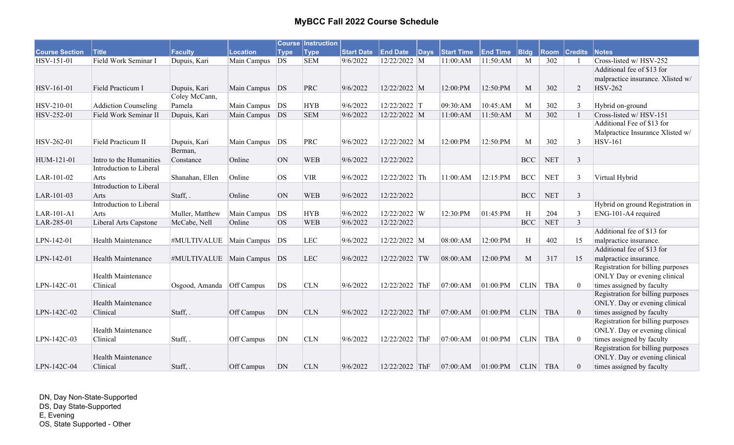|                       |                             |                                |                |             | <b>Course Instruction</b> |                   |                 |          |                   |                 |              |            |                |                                   |
|-----------------------|-----------------------------|--------------------------------|----------------|-------------|---------------------------|-------------------|-----------------|----------|-------------------|-----------------|--------------|------------|----------------|-----------------------------------|
| <b>Course Section</b> | <b>Title</b>                | Faculty                        | Location       | <b>Type</b> | <b>Type</b>               | <b>Start Date</b> | <b>End Date</b> | $ $ Days | <b>Start Time</b> | <b>End Time</b> | B            | Room       | <b>Credits</b> | Notes                             |
| HSV-151-01            | Field Work Seminar I        | Dupuis, Kari                   | Main Campus    | DS          | <b>SEM</b>                | 9/6/2022          | 12/22/2022 M    |          | 11:00:AM          | 11:50:AM        | M            | 302        |                | Cross-listed w/HSV-252            |
|                       |                             |                                |                |             |                           |                   |                 |          |                   |                 |              |            |                | Additional fee of \$13 for        |
|                       |                             |                                |                |             |                           |                   |                 |          |                   |                 |              |            |                | malpractice insurance. Xlisted w/ |
| HSV-161-01            | Field Practicum I           | Dupuis, Kari                   | Main Campus DS |             | PRC                       | 9/6/2022          | 12/22/2022 M    |          | 12:00:PM          | 12:50:PM        | M            | 302        | 2              | <b>HSV-262</b>                    |
|                       |                             | Coley McCann,                  |                |             |                           |                   |                 |          |                   |                 |              |            |                |                                   |
| HSV-210-01            | <b>Addiction Counseling</b> | Pamela                         | Main Campus DS |             | <b>HYB</b>                | 9/6/2022          | 12/22/2022 T    |          | 09:30:AM          | 10:45:AM        | M            | 302        | 3              | Hybrid on-ground                  |
| HSV-252-01            | Field Work Seminar II       | Dupuis, Kari                   | Main Campus DS |             | <b>SEM</b>                | 9/6/2022          | 12/22/2022 M    |          | 11:00:AM          | 11:50:AM        | M            | 302        |                | Cross-listed w/ HSV-151           |
|                       |                             |                                |                |             |                           |                   |                 |          |                   |                 |              |            |                | Additional Fee of \$13 for        |
|                       |                             |                                |                |             |                           |                   |                 |          |                   |                 |              |            |                | Malpractice Insurance Xlisted w/  |
| HSV-262-01            | Field Practicum II          | Dupuis, Kari                   | Main Campus    | DS          | PRC                       | 9/6/2022          | 12/22/2022 M    |          | 12:00:PM          | 12:50:PM        | M            | 302        | 3              | <b>HSV-161</b>                    |
|                       |                             | Berman,                        |                |             |                           |                   |                 |          |                   |                 |              |            |                |                                   |
| HUM-121-01            | Intro to the Humanities     | Constance                      | Online         | <b>ON</b>   | <b>WEB</b>                | 9/6/2022          | 12/22/2022      |          |                   |                 | <b>BCC</b>   | <b>NET</b> | $\overline{3}$ |                                   |
|                       | Introduction to Liberal     |                                |                |             |                           |                   |                 |          |                   |                 |              |            |                |                                   |
| LAR-101-02            | Arts                        | Shanahan, Ellen                | Online         | <b>OS</b>   | <b>VIR</b>                | 9/6/2022          | 12/22/2022 Th   |          | 11:00:AM          | 12:15:PM        | $_{\rm BCC}$ | <b>NET</b> | $\mathbf{3}$   | Virtual Hybrid                    |
|                       | Introduction to Liberal     |                                |                |             |                           |                   |                 |          |                   |                 |              |            |                |                                   |
| LAR-101-03            | Arts                        | Staff, .                       | Online         | <b>ON</b>   | <b>WEB</b>                | 9/6/2022          | 12/22/2022      |          |                   |                 | <b>BCC</b>   | <b>NET</b> | $\mathfrak{Z}$ |                                   |
|                       | Introduction to Liberal     |                                |                |             |                           |                   |                 |          |                   |                 |              |            |                | Hybrid on ground Registration in  |
| LAR-101-A1            | Arts                        | Muller, Matthew                | Main Campus    | DS          | <b>HYB</b>                | 9/6/2022          | 12/22/2022 W    |          | 12:30:PM          | 01:45:PM        | $\,$ H       | 204        | 3              | ENG-101-A4 required               |
| LAR-285-01            | Liberal Arts Capstone       | McCabe, Nell                   | Online         | <b>OS</b>   | <b>WEB</b>                | 9/6/2022          | 12/22/2022      |          |                   |                 | <b>BCC</b>   | <b>NET</b> | $\overline{3}$ |                                   |
|                       |                             |                                |                |             |                           |                   |                 |          |                   |                 |              |            |                | Additional fee of \$13 for        |
| LPN-142-01            | Health Maintenance          | #MULTIVALUE   Main Campus      |                | DS          | <b>LEC</b>                | 9/6/2022          | 12/22/2022 M    |          | 08:00:AM          | 12:00:PM        | H            | 402        | 15             | malpractice insurance.            |
|                       |                             |                                |                |             |                           |                   |                 |          |                   |                 |              |            |                | Additional fee of \$13 for        |
| LPN-142-01            | Health Maintenance          | #MULTIVALUE   Main Campus   DS |                |             | <b>LEC</b>                | 9/6/2022          | 12/22/2022 TW   |          | 08:00:AM          | 12:00:PM        | M            | 317        | 15             | malpractice insurance.            |
|                       |                             |                                |                |             |                           |                   |                 |          |                   |                 |              |            |                | Registration for billing purposes |
|                       | Health Maintenance          |                                |                |             |                           |                   |                 |          |                   |                 |              |            |                | ONLY Day or evening clinical      |
| LPN-142C-01           | Clinical                    | Osgood, Amanda                 | Off Campus     | DS          | <b>CLN</b>                | 9/6/2022          | 12/22/2022 ThF  |          | 07:00:AM          | 01:00:PM        | <b>CLIN</b>  | <b>TBA</b> | $\theta$       | times assigned by faculty         |
|                       |                             |                                |                |             |                           |                   |                 |          |                   |                 |              |            |                | Registration for billing purposes |
|                       | <b>Health Maintenance</b>   |                                |                |             |                           |                   |                 |          |                   |                 |              |            |                | ONLY. Day or evening clinical     |
| LPN-142C-02           | Clinical                    | Staff, .                       | Off Campus     | DN          | <b>CLN</b>                | 9/6/2022          | 12/22/2022 ThF  |          | 07:00:AM          | 01:00:PM        | <b>CLIN</b>  | <b>TBA</b> | $\theta$       | times assigned by faculty         |
|                       |                             |                                |                |             |                           |                   |                 |          |                   |                 |              |            |                | Registration for billing purposes |
|                       | Health Maintenance          |                                |                |             |                           |                   |                 |          |                   |                 |              |            |                | ONLY. Day or evening clinical     |
| LPN-142C-03           | Clinical                    | Staff, .                       | Off Campus     | DN          | <b>CLN</b>                | 9/6/2022          | 12/22/2022 ThF  |          | 07:00:AM          | 01:00:PM        | <b>CLIN</b>  | <b>TBA</b> | $\theta$       | times assigned by faculty         |
|                       |                             |                                |                |             |                           |                   |                 |          |                   |                 |              |            |                | Registration for billing purposes |
|                       | Health Maintenance          |                                |                |             |                           |                   |                 |          |                   |                 |              |            |                | ONLY. Day or evening clinical     |
| LPN-142C-04           | Clinical                    | Staff,.                        | Off Campus     | DN          | <b>CLN</b>                | 9/6/2022          | 12/22/2022 ThF  |          | 07:00:AM          | 01:00:PM        | <b>CLIN</b>  | <b>TBA</b> | $\overline{0}$ | times assigned by faculty         |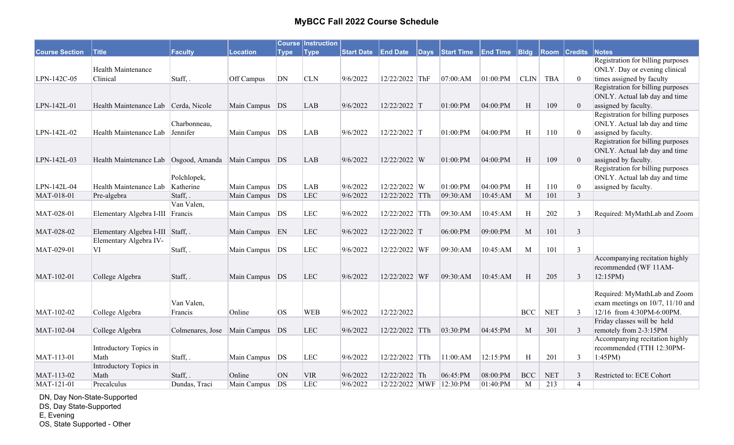|                       |                                                            |                  |                  |             | <b>Course Instruction</b> |          |                         |                                                   |          |              |            |                     |                                                                    |
|-----------------------|------------------------------------------------------------|------------------|------------------|-------------|---------------------------|----------|-------------------------|---------------------------------------------------|----------|--------------|------------|---------------------|--------------------------------------------------------------------|
| <b>Course Section</b> | <b>Title</b>                                               | <b>Faculty</b>   | <b>Location</b>  | <b>Type</b> | <b>Type</b>               |          |                         | Start Date End Date Days Start Time End Time Bldg |          |              |            | <b>Room Credits</b> | Notes                                                              |
|                       |                                                            |                  |                  |             |                           |          |                         |                                                   |          |              |            |                     | Registration for billing purposes                                  |
|                       | <b>Health Maintenance</b>                                  |                  |                  |             |                           |          |                         |                                                   |          |              |            |                     | ONLY. Day or evening clinical                                      |
| LPN-142C-05           | Clinical                                                   | Staff, .         | Off Campus       | DN          | <b>CLN</b>                | 9/6/2022 | 12/22/2022 ThF          | 07:00:AM                                          | 01:00:PM | <b>CLIN</b>  | <b>TBA</b> | $\mathbf{0}$        | times assigned by faculty                                          |
|                       |                                                            |                  |                  |             |                           |          |                         |                                                   |          |              |            |                     | Registration for billing purposes                                  |
|                       |                                                            |                  |                  |             |                           |          |                         |                                                   |          |              |            |                     | ONLY. Actual lab day and time                                      |
| LPN-142L-01           | Health Maintenance Lab Cerda, Nicole                       |                  | Main Campus DS   |             | LAB                       | 9/6/2022 | 12/22/2022 T            | 01:00:PM                                          | 04:00:PM | H            | 109        | $\theta$            | assigned by faculty.                                               |
|                       |                                                            | Charbonneau,     |                  |             |                           |          |                         |                                                   |          |              |            |                     | Registration for billing purposes<br>ONLY. Actual lab day and time |
| LPN-142L-02           | Health Maintenance Lab                                     | Jennifer         | Main Campus DS   |             | LAB                       | 9/6/2022 | $12/22/2022$ T          | 01:00:PM                                          | 04:00:PM | H            | 110        | $\theta$            | assigned by faculty.                                               |
|                       |                                                            |                  |                  |             |                           |          |                         |                                                   |          |              |            |                     | Registration for billing purposes                                  |
|                       |                                                            |                  |                  |             |                           |          |                         |                                                   |          |              |            |                     | ONLY. Actual lab day and time                                      |
| LPN-142L-03           | Health Maintenance Lab   Osgood, Amanda   Main Campus   DS |                  |                  |             | <b>LAB</b>                | 9/6/2022 | 12/22/2022 W            | 01:00:PM                                          | 04:00:PM | H            | 109        | $\overline{0}$      | assigned by faculty.                                               |
|                       |                                                            |                  |                  |             |                           |          |                         |                                                   |          |              |            |                     | Registration for billing purposes                                  |
|                       |                                                            | Polchlopek,      |                  |             |                           |          |                         |                                                   |          |              |            |                     | ONLY. Actual lab day and time                                      |
| LPN-142L-04           | Health Maintenance Lab                                     | Katherine        | Main Campus   DS |             | LAB                       | 9/6/2022 | 12/22/2022 W            | 01:00:PM                                          | 04:00:PM | H            | 110        | $\boldsymbol{0}$    | assigned by faculty.                                               |
| MAT-018-01            | Pre-algebra                                                | Staff,.          | Main Campus DS   |             | LEC                       | 9/6/2022 | 12/22/2022 TTh          | 09:30:AM                                          | 10:45:AM | M            | 101        | $\overline{3}$      |                                                                    |
|                       |                                                            | Van Valen,       |                  |             |                           |          |                         |                                                   |          |              |            |                     |                                                                    |
| MAT-028-01            | Elementary Algebra I-III                                   | Francis          | Main Campus      | DS          | LEC                       | 9/6/2022 | 12/22/2022 TTh          | 09:30:AM                                          | 10:45:AM | H            | 202        | $\mathfrak{Z}$      | Required: MyMathLab and Zoom                                       |
|                       |                                                            |                  |                  |             |                           |          |                         |                                                   |          |              |            |                     |                                                                    |
| MAT-028-02            | Elementary Algebra I-III Staff, .                          |                  | Main Campus EN   |             | LEC                       | 9/6/2022 | 12/22/2022 T            | 06:00:PM                                          | 09:00:PM | M            | 101        | $\mathfrak{Z}$      |                                                                    |
|                       | Elementary Algebra IV-                                     |                  |                  |             |                           |          |                         |                                                   |          |              |            |                     |                                                                    |
| MAT-029-01            | VI                                                         | Staff,.          | Main Campus      | DS          | <b>LEC</b>                | 9/6/2022 | 12/22/2022 WF           | 09:30:AM                                          | 10:45:AM | M            | 101        | 3                   |                                                                    |
|                       |                                                            |                  |                  |             |                           |          |                         |                                                   |          |              |            |                     | Accompanying recitation highly                                     |
|                       |                                                            |                  |                  |             |                           |          |                         |                                                   |          |              |            |                     | recommended (WF 11AM-                                              |
| MAT-102-01            | College Algebra                                            | Staff, .         | Main Campus DS   |             | <b>LEC</b>                | 9/6/2022 | 12/22/2022 WF           | 09:30:AM                                          | 10:45:AM | H            | 205        | 3                   | 12:15PM                                                            |
|                       |                                                            |                  |                  |             |                           |          |                         |                                                   |          |              |            |                     |                                                                    |
|                       |                                                            |                  |                  |             |                           |          |                         |                                                   |          |              |            |                     | Required: MyMathLab and Zoom                                       |
|                       |                                                            | Van Valen,       |                  |             |                           |          |                         |                                                   |          |              |            |                     | exam meetings on 10/7, 11/10 and                                   |
| MAT-102-02            | College Algebra                                            | Francis          | Online           | <b>OS</b>   | <b>WEB</b>                | 9/6/2022 | 12/22/2022              |                                                   |          | <b>BCC</b>   | <b>NET</b> | 3                   | 12/16 from 4:30PM-6:00PM.                                          |
|                       |                                                            |                  |                  |             |                           |          |                         |                                                   |          |              |            |                     | Friday classes will be held                                        |
| MAT-102-04            | College Algebra                                            | Colmenares, Jose | Main Campus      | DS          | <b>LEC</b>                | 9/6/2022 | 12/22/2022 TTh          | 03:30:PM                                          | 04:45:PM | M            | 301        | 3                   | remotely from 2-3:15PM                                             |
|                       |                                                            |                  |                  |             |                           |          |                         |                                                   |          |              |            |                     | Accompanying recitation highly                                     |
|                       | Introductory Topics in                                     |                  |                  |             |                           |          |                         |                                                   |          |              |            |                     | recommended (TTH 12:30PM-                                          |
| MAT-113-01            | Math<br>Introductory Topics in                             | Staff,.          | Main Campus      | DS          | LEC                       | 9/6/2022 | 12/22/2022 TTh          | 11:00:AM                                          | 12:15:PM | $\, {\rm H}$ | 201        | $\mathfrak{Z}$      | 1:45PM                                                             |
| MAT-113-02            | Math                                                       | Staff, .         | Online           | <b>ON</b>   | <b>VIR</b>                | 9/6/2022 | 12/22/2022 Th           | 06:45:PM                                          | 08:00:PM | <b>BCC</b>   | <b>NET</b> | 3                   | Restricted to: ECE Cohort                                          |
| MAT-121-01            | Precalculus                                                | Dundas, Traci    | Main Campus      | DS          | LEC                       | 9/6/2022 | 12/22/2022 MWF 12:30:PM |                                                   | 01:40:PM | M            | 213        | $\overline{4}$      |                                                                    |
|                       |                                                            |                  |                  |             |                           |          |                         |                                                   |          |              |            |                     |                                                                    |

DN, Day Non-State-Supported

DS, Day State-Supported

E, Evening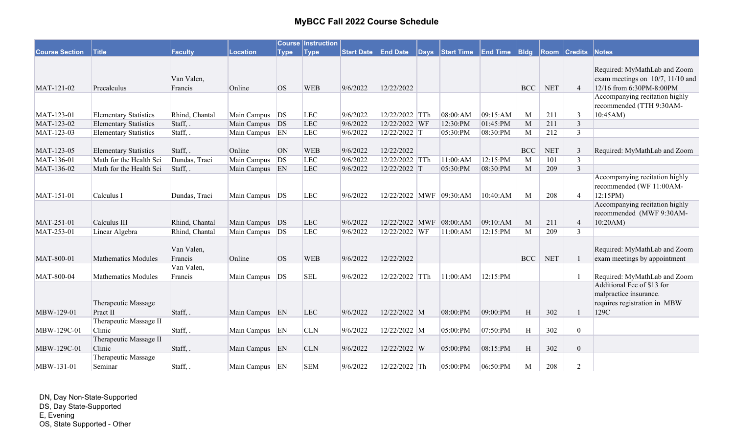|                       |                              |                |                  |             | <b>Course Instruction</b> |                   |                         |          |                   |                 |                  |                      |                |                                                            |
|-----------------------|------------------------------|----------------|------------------|-------------|---------------------------|-------------------|-------------------------|----------|-------------------|-----------------|------------------|----------------------|----------------|------------------------------------------------------------|
| <b>Course Section</b> | <b>Title</b>                 | <b>Faculty</b> | <b>Location</b>  | <b>Type</b> | <b>Type</b>               | <b>Start Date</b> | <b>End Date</b>         | $ $ Days | <b>Start Time</b> | <b>End Time</b> | B <sub>ldg</sub> | Room                 | <b>Credits</b> | Notes                                                      |
|                       |                              |                |                  |             |                           |                   |                         |          |                   |                 |                  |                      |                |                                                            |
|                       |                              |                |                  |             |                           |                   |                         |          |                   |                 |                  |                      |                | Required: MyMathLab and Zoom                               |
|                       |                              | Van Valen,     |                  |             |                           |                   |                         |          |                   |                 |                  |                      |                | exam meetings on 10/7, 11/10 and                           |
| MAT-121-02            | Precalculus                  | Francis        | Online           | <b>OS</b>   | <b>WEB</b>                | 9/6/2022          | 12/22/2022              |          |                   |                 | <b>BCC</b>       | $\operatorname{NET}$ | $\overline{4}$ | 12/16 from 6:30PM-8:00PM                                   |
|                       |                              |                |                  |             |                           |                   |                         |          |                   |                 |                  |                      |                | Accompanying recitation highly<br>recommended (TTH 9:30AM- |
| MAT-123-01            | <b>Elementary Statistics</b> | Rhind, Chantal | Main Campus DS   |             | <b>LEC</b>                | 9/6/2022          | 12/22/2022 TTh          |          | 08:00:AM          | 09:15:AM        | M                | 211                  | $\mathfrak{Z}$ | 10:45AM)                                                   |
| MAT-123-02            | <b>Elementary Statistics</b> | Staff, .       | Main Campus DS   |             | <b>LEC</b>                | 9/6/2022          | 12/22/2022 WF           |          | 12:30:PM          | 01:45:PM        | M                | 211                  | $\overline{3}$ |                                                            |
| MAT-123-03            | <b>Elementary Statistics</b> | Staff, .       | Main Campus EN   |             | LEC                       | 9/6/2022          | $12/22/2022$ T          |          | 05:30:PM          | 08:30:PM        | M                | 212                  | $\overline{3}$ |                                                            |
|                       |                              |                |                  |             |                           |                   |                         |          |                   |                 |                  |                      |                |                                                            |
| MAT-123-05            | <b>Elementary Statistics</b> | Staff, .       | Online           | ON          | <b>WEB</b>                | 9/6/2022          | 12/22/2022              |          |                   |                 | <b>BCC</b>       | <b>NET</b>           | 3              | Required: MyMathLab and Zoom                               |
| MAT-136-01            | Math for the Health Sci      | Dundas, Traci  | Main Campus      | DS          | <b>LEC</b>                | 9/6/2022          | 12/22/2022 TTh          |          | 11:00:AM          | 12:15:PM        | M                | 101                  | 3              |                                                            |
| MAT-136-02            | Math for the Health Sci      | Staff, .       | Main Campus EN   |             | LEC                       | 9/6/2022          | 12/22/2022 T            |          | 05:30:PM          | 08:30:PM        | M                | 209                  | $\overline{3}$ |                                                            |
|                       |                              |                |                  |             |                           |                   |                         |          |                   |                 |                  |                      |                | Accompanying recitation highly                             |
|                       |                              |                |                  |             |                           |                   |                         |          |                   |                 |                  |                      |                | recommended (WF 11:00AM-                                   |
| MAT-151-01            | Calculus I                   | Dundas, Traci  | Main Campus   DS |             | <b>LEC</b>                | 9/6/2022          | 12/22/2022 MWF 09:30:AM |          |                   | 10:40:AM        | M                | 208                  | $\overline{4}$ | 12:15PM                                                    |
|                       |                              |                |                  |             |                           |                   |                         |          |                   |                 |                  |                      |                | Accompanying recitation highly                             |
|                       |                              |                |                  |             |                           |                   |                         |          |                   |                 |                  |                      |                | recommended (MWF 9:30AM-                                   |
| MAT-251-01            | Calculus III                 | Rhind, Chantal | Main Campus DS   |             | LEC                       | 9/6/2022          | 12/22/2022 MWF          |          | 08:00:AM          | 09:10:AM        | M                | 211                  | $\overline{4}$ | 10:20AM                                                    |
| MAT-253-01            | Linear Algebra               | Rhind, Chantal | Main Campus      | DS          | LEC                       | 9/6/2022          | 12/22/2022 WF           |          | 11:00:AM          | 12:15:PM        | M                | 209                  | 3              |                                                            |
|                       |                              |                |                  |             |                           |                   |                         |          |                   |                 |                  |                      |                |                                                            |
|                       |                              | Van Valen,     |                  |             |                           |                   |                         |          |                   |                 |                  |                      |                | Required: MyMathLab and Zoom                               |
| MAT-800-01            | <b>Mathematics Modules</b>   | Francis        | Online           | <b>OS</b>   | <b>WEB</b>                | 9/6/2022          | 12/22/2022              |          |                   |                 | BCC              | <b>NET</b>           |                | exam meetings by appointment                               |
|                       |                              | Van Valen,     |                  |             |                           |                   |                         |          |                   |                 |                  |                      |                |                                                            |
| MAT-800-04            | <b>Mathematics Modules</b>   | Francis        | Main Campus   DS |             | <b>SEL</b>                | 9/6/2022          | $12/22/2022$ TTh        |          | 11:00:AM          | 12:15:PM        |                  |                      |                | Required: MyMathLab and Zoom                               |
|                       |                              |                |                  |             |                           |                   |                         |          |                   |                 |                  |                      |                | Additional Fee of \$13 for                                 |
|                       |                              |                |                  |             |                           |                   |                         |          |                   |                 |                  |                      |                | malpractice insurance.                                     |
|                       | Therapeutic Massage          |                |                  |             |                           |                   |                         |          |                   |                 |                  |                      |                | requires registration in MBW                               |
| MBW-129-01            | Pract II                     | Staff, .       | Main Campus EN   |             | <b>LEC</b>                | 9/6/2022          | 12/22/2022 M            |          | 08:00:PM          | 09:00:PM        | H                | 302                  |                | 129C                                                       |
|                       | Therapeutic Massage II       |                |                  |             |                           |                   |                         |          |                   |                 |                  |                      |                |                                                            |
| MBW-129C-01           | Clinic                       | Staff, .       | Main Campus EN   |             | <b>CLN</b>                | 9/6/2022          | 12/22/2022 M            |          | 05:00:PM          | 07:50:PM        | H                | 302                  | $\mathbf{0}$   |                                                            |
|                       | Therapeutic Massage II       |                |                  |             |                           |                   |                         |          |                   |                 |                  |                      |                |                                                            |
| MBW-129C-01           | Clinic                       | Staff, .       | Main Campus EN   |             | <b>CLN</b>                | 9/6/2022          | 12/22/2022 W            |          | 05:00:PM          | 08:15:PM        | H                | 302                  | $\mathbf{0}$   |                                                            |
|                       | Therapeutic Massage          |                |                  |             |                           |                   |                         |          |                   |                 |                  |                      |                |                                                            |
| MBW-131-01            | Seminar                      | Staff, .       | Main Campus EN   |             | <b>SEM</b>                | 9/6/2022          | 12/22/2022 Th           |          | 05:00:PM          | 06:50:PM        | M                | 208                  | 2              |                                                            |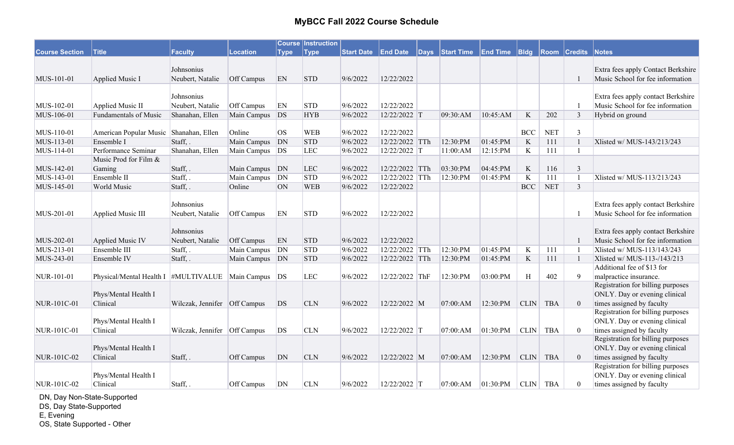| Start Date End Date Days Start Time End Time Bldg Room Credits<br><b>Notes</b><br>Extra fees apply Contact Berkshire<br>Johnsonius<br>9/6/2022<br>Music School for fee information<br>MUS-101-01<br>Applied Music I<br>Neubert, Natalie<br>Off Campus<br>EN<br><b>STD</b><br>12/22/2022<br>Johnsonius<br>Extra fees apply contact Berkshire<br>Neubert, Natalie<br>Music School for fee information<br>MUS-102-01<br>Applied Music II<br>Off Campus<br>EN<br><b>STD</b><br>9/6/2022<br>12/22/2022<br>$\mathfrak{Z}$<br>MUS-106-01<br>Fundamentals of Music<br>Shanahan, Ellen<br>Main Campus<br>DS<br><b>HYB</b><br>9/6/2022<br>09:30:AM<br>10:45:AM<br>$\rm K$<br>202<br>Hybrid on ground<br>12/22/2022 T<br>MUS-110-01<br>9/6/2022<br>American Popular Music Shanahan, Ellen<br>Online<br><b>OS</b><br><b>WEB</b><br>12/22/2022<br><b>BCC</b><br><b>NET</b><br>$\mathfrak{Z}$<br>Main Campus<br>MUS-113-01<br>Ensemble I<br>Staff, .<br>DN<br><b>STD</b><br>9/6/2022<br>12/22/2022 TTh<br>01:45:PM<br>$\mathbf K$<br>111<br>Xlisted w/ MUS-143/213/243<br>12:30:PM<br>Shanahan, Ellen<br>LEC<br>$\rm K$<br>MUS-114-01<br>Performance Seminar<br>Main Campus<br>DS<br>9/6/2022<br>12/22/2022 T<br>12:15:PM<br>111<br>11:00:AM<br>Music Prod for Film &<br>MUS-142-01<br>Staff, .<br>Main Campus<br>LEC<br>9/6/2022<br>03:30:PM<br>04:45:PM<br>$\rm K$<br>116<br>$\mathfrak{Z}$<br>Gaming<br>DN<br>12/22/2022 TTh<br>Ensemble II<br>Staff, .<br>DN<br><b>STD</b><br>9/6/2022<br>12/22/2022 TTh<br>K<br>111<br>Xlisted w/ MUS-113/213/243<br>MUS-143-01<br>Main Campus<br>12:30:PM<br> 01:45:PM<br><b>NET</b><br>3<br>MUS-145-01<br>World Music<br>Online<br><b>ON</b><br><b>WEB</b><br>9/6/2022<br>12/22/2022<br><b>BCC</b><br>Staff, .<br>Extra fees apply contact Berkshire<br>Johnsonius<br>MUS-201-01<br>Neubert, Natalie<br>EN<br><b>STD</b><br>9/6/2022<br>12/22/2022<br>Music School for fee information<br>Applied Music III<br>Off Campus<br>Johnsonius<br>Extra fees apply contact Berkshire<br>MUS-202-01<br>EN<br><b>STD</b><br>9/6/2022<br>12/22/2022<br>Music School for fee information<br>Applied Music IV<br>Neubert, Natalie<br>Off Campus<br>MUS-213-01<br>DN<br><b>STD</b><br>9/6/2022<br>$\bf K$<br>Ensemble III<br>Staff, .<br>Main Campus<br>12/22/2022 TTh<br>12:30:PM<br> 01:45:PM<br>111<br>Xlisted w/ MUS-113/143/243<br>$\rm K$<br>MUS-243-01<br>Ensemble IV<br>Staff, .<br>Main Campus<br>DN<br><b>STD</b><br>9/6/2022<br>12/22/2022 TTh<br>12:30:PM<br>01:45:PM<br>111<br>Xlisted w/ MUS-113-/143/213<br>Additional fee of \$13 for<br><b>LEC</b><br>9/6/2022<br>H<br>402<br>9<br>malpractice insurance.<br>NUR-101-01<br>Physical/Mental Health I #MULTIVALUE<br>DS<br>12/22/2022 ThF<br>12:30:PM<br>03:00:PM<br>Main Campus<br>Registration for billing purposes<br>ONLY. Day or evening clinical<br>Phys/Mental Health I<br>times assigned by faculty<br>Clinical<br>9/6/2022<br>12:30:PM<br>NUR-101C-01<br>Wilczak, Jennifer   Off Campus<br><b>DS</b><br><b>CLN</b><br>12/22/2022 M<br>07:00:AM<br><b>CLIN</b><br><b>TBA</b><br>$\overline{0}$<br>Registration for billing purposes<br>Phys/Mental Health I<br>ONLY. Day or evening clinical<br>times assigned by faculty<br>NUR-101C-01<br>Clinical<br>DS<br><b>CLN</b><br>9/6/2022<br>12/22/2022 T<br>07:00:AM<br>01:30:PM<br><b>CLIN</b><br><b>TBA</b><br>$\mathbf{0}$<br>Wilczak, Jennifer   Off Campus<br>Registration for billing purposes<br>ONLY. Day or evening clinical<br>Phys/Mental Health I<br>Clinical<br>times assigned by faculty<br>NUR-101C-02<br>DN<br><b>CLN</b><br>9/6/2022<br>12/22/2022 M<br>12:30:PM<br>CLIN<br><b>TBA</b><br>Staff, .<br>Off Campus<br>07:00:AM<br>$\theta$ |                       |              |                |          |             | <b>Course Instruction</b> |  |  |  |  |  |
|------------------------------------------------------------------------------------------------------------------------------------------------------------------------------------------------------------------------------------------------------------------------------------------------------------------------------------------------------------------------------------------------------------------------------------------------------------------------------------------------------------------------------------------------------------------------------------------------------------------------------------------------------------------------------------------------------------------------------------------------------------------------------------------------------------------------------------------------------------------------------------------------------------------------------------------------------------------------------------------------------------------------------------------------------------------------------------------------------------------------------------------------------------------------------------------------------------------------------------------------------------------------------------------------------------------------------------------------------------------------------------------------------------------------------------------------------------------------------------------------------------------------------------------------------------------------------------------------------------------------------------------------------------------------------------------------------------------------------------------------------------------------------------------------------------------------------------------------------------------------------------------------------------------------------------------------------------------------------------------------------------------------------------------------------------------------------------------------------------------------------------------------------------------------------------------------------------------------------------------------------------------------------------------------------------------------------------------------------------------------------------------------------------------------------------------------------------------------------------------------------------------------------------------------------------------------------------------------------------------------------------------------------------------------------------------------------------------------------------------------------------------------------------------------------------------------------------------------------------------------------------------------------------------------------------------------------------------------------------------------------------------------------------------------------------------------------------------------------------------------------------------------------------------------------------------------------------------------------------------------------------------------------------------------------------------------------------------------------------------------------------------------------------------------------------------------------------------------------------------------------------------------------------------------------------------------------------------------------------------------------------------------------------------------------------------|-----------------------|--------------|----------------|----------|-------------|---------------------------|--|--|--|--|--|
|                                                                                                                                                                                                                                                                                                                                                                                                                                                                                                                                                                                                                                                                                                                                                                                                                                                                                                                                                                                                                                                                                                                                                                                                                                                                                                                                                                                                                                                                                                                                                                                                                                                                                                                                                                                                                                                                                                                                                                                                                                                                                                                                                                                                                                                                                                                                                                                                                                                                                                                                                                                                                                                                                                                                                                                                                                                                                                                                                                                                                                                                                                                                                                                                                                                                                                                                                                                                                                                                                                                                                                                                                                                                                          | <b>Course Section</b> | <b>Title</b> | <b>Faculty</b> | Location | <b>Type</b> | <b>Type</b>               |  |  |  |  |  |
|                                                                                                                                                                                                                                                                                                                                                                                                                                                                                                                                                                                                                                                                                                                                                                                                                                                                                                                                                                                                                                                                                                                                                                                                                                                                                                                                                                                                                                                                                                                                                                                                                                                                                                                                                                                                                                                                                                                                                                                                                                                                                                                                                                                                                                                                                                                                                                                                                                                                                                                                                                                                                                                                                                                                                                                                                                                                                                                                                                                                                                                                                                                                                                                                                                                                                                                                                                                                                                                                                                                                                                                                                                                                                          |                       |              |                |          |             |                           |  |  |  |  |  |
|                                                                                                                                                                                                                                                                                                                                                                                                                                                                                                                                                                                                                                                                                                                                                                                                                                                                                                                                                                                                                                                                                                                                                                                                                                                                                                                                                                                                                                                                                                                                                                                                                                                                                                                                                                                                                                                                                                                                                                                                                                                                                                                                                                                                                                                                                                                                                                                                                                                                                                                                                                                                                                                                                                                                                                                                                                                                                                                                                                                                                                                                                                                                                                                                                                                                                                                                                                                                                                                                                                                                                                                                                                                                                          |                       |              |                |          |             |                           |  |  |  |  |  |
|                                                                                                                                                                                                                                                                                                                                                                                                                                                                                                                                                                                                                                                                                                                                                                                                                                                                                                                                                                                                                                                                                                                                                                                                                                                                                                                                                                                                                                                                                                                                                                                                                                                                                                                                                                                                                                                                                                                                                                                                                                                                                                                                                                                                                                                                                                                                                                                                                                                                                                                                                                                                                                                                                                                                                                                                                                                                                                                                                                                                                                                                                                                                                                                                                                                                                                                                                                                                                                                                                                                                                                                                                                                                                          |                       |              |                |          |             |                           |  |  |  |  |  |
|                                                                                                                                                                                                                                                                                                                                                                                                                                                                                                                                                                                                                                                                                                                                                                                                                                                                                                                                                                                                                                                                                                                                                                                                                                                                                                                                                                                                                                                                                                                                                                                                                                                                                                                                                                                                                                                                                                                                                                                                                                                                                                                                                                                                                                                                                                                                                                                                                                                                                                                                                                                                                                                                                                                                                                                                                                                                                                                                                                                                                                                                                                                                                                                                                                                                                                                                                                                                                                                                                                                                                                                                                                                                                          |                       |              |                |          |             |                           |  |  |  |  |  |
|                                                                                                                                                                                                                                                                                                                                                                                                                                                                                                                                                                                                                                                                                                                                                                                                                                                                                                                                                                                                                                                                                                                                                                                                                                                                                                                                                                                                                                                                                                                                                                                                                                                                                                                                                                                                                                                                                                                                                                                                                                                                                                                                                                                                                                                                                                                                                                                                                                                                                                                                                                                                                                                                                                                                                                                                                                                                                                                                                                                                                                                                                                                                                                                                                                                                                                                                                                                                                                                                                                                                                                                                                                                                                          |                       |              |                |          |             |                           |  |  |  |  |  |
|                                                                                                                                                                                                                                                                                                                                                                                                                                                                                                                                                                                                                                                                                                                                                                                                                                                                                                                                                                                                                                                                                                                                                                                                                                                                                                                                                                                                                                                                                                                                                                                                                                                                                                                                                                                                                                                                                                                                                                                                                                                                                                                                                                                                                                                                                                                                                                                                                                                                                                                                                                                                                                                                                                                                                                                                                                                                                                                                                                                                                                                                                                                                                                                                                                                                                                                                                                                                                                                                                                                                                                                                                                                                                          |                       |              |                |          |             |                           |  |  |  |  |  |
|                                                                                                                                                                                                                                                                                                                                                                                                                                                                                                                                                                                                                                                                                                                                                                                                                                                                                                                                                                                                                                                                                                                                                                                                                                                                                                                                                                                                                                                                                                                                                                                                                                                                                                                                                                                                                                                                                                                                                                                                                                                                                                                                                                                                                                                                                                                                                                                                                                                                                                                                                                                                                                                                                                                                                                                                                                                                                                                                                                                                                                                                                                                                                                                                                                                                                                                                                                                                                                                                                                                                                                                                                                                                                          |                       |              |                |          |             |                           |  |  |  |  |  |
|                                                                                                                                                                                                                                                                                                                                                                                                                                                                                                                                                                                                                                                                                                                                                                                                                                                                                                                                                                                                                                                                                                                                                                                                                                                                                                                                                                                                                                                                                                                                                                                                                                                                                                                                                                                                                                                                                                                                                                                                                                                                                                                                                                                                                                                                                                                                                                                                                                                                                                                                                                                                                                                                                                                                                                                                                                                                                                                                                                                                                                                                                                                                                                                                                                                                                                                                                                                                                                                                                                                                                                                                                                                                                          |                       |              |                |          |             |                           |  |  |  |  |  |
|                                                                                                                                                                                                                                                                                                                                                                                                                                                                                                                                                                                                                                                                                                                                                                                                                                                                                                                                                                                                                                                                                                                                                                                                                                                                                                                                                                                                                                                                                                                                                                                                                                                                                                                                                                                                                                                                                                                                                                                                                                                                                                                                                                                                                                                                                                                                                                                                                                                                                                                                                                                                                                                                                                                                                                                                                                                                                                                                                                                                                                                                                                                                                                                                                                                                                                                                                                                                                                                                                                                                                                                                                                                                                          |                       |              |                |          |             |                           |  |  |  |  |  |
|                                                                                                                                                                                                                                                                                                                                                                                                                                                                                                                                                                                                                                                                                                                                                                                                                                                                                                                                                                                                                                                                                                                                                                                                                                                                                                                                                                                                                                                                                                                                                                                                                                                                                                                                                                                                                                                                                                                                                                                                                                                                                                                                                                                                                                                                                                                                                                                                                                                                                                                                                                                                                                                                                                                                                                                                                                                                                                                                                                                                                                                                                                                                                                                                                                                                                                                                                                                                                                                                                                                                                                                                                                                                                          |                       |              |                |          |             |                           |  |  |  |  |  |
|                                                                                                                                                                                                                                                                                                                                                                                                                                                                                                                                                                                                                                                                                                                                                                                                                                                                                                                                                                                                                                                                                                                                                                                                                                                                                                                                                                                                                                                                                                                                                                                                                                                                                                                                                                                                                                                                                                                                                                                                                                                                                                                                                                                                                                                                                                                                                                                                                                                                                                                                                                                                                                                                                                                                                                                                                                                                                                                                                                                                                                                                                                                                                                                                                                                                                                                                                                                                                                                                                                                                                                                                                                                                                          |                       |              |                |          |             |                           |  |  |  |  |  |
|                                                                                                                                                                                                                                                                                                                                                                                                                                                                                                                                                                                                                                                                                                                                                                                                                                                                                                                                                                                                                                                                                                                                                                                                                                                                                                                                                                                                                                                                                                                                                                                                                                                                                                                                                                                                                                                                                                                                                                                                                                                                                                                                                                                                                                                                                                                                                                                                                                                                                                                                                                                                                                                                                                                                                                                                                                                                                                                                                                                                                                                                                                                                                                                                                                                                                                                                                                                                                                                                                                                                                                                                                                                                                          |                       |              |                |          |             |                           |  |  |  |  |  |
|                                                                                                                                                                                                                                                                                                                                                                                                                                                                                                                                                                                                                                                                                                                                                                                                                                                                                                                                                                                                                                                                                                                                                                                                                                                                                                                                                                                                                                                                                                                                                                                                                                                                                                                                                                                                                                                                                                                                                                                                                                                                                                                                                                                                                                                                                                                                                                                                                                                                                                                                                                                                                                                                                                                                                                                                                                                                                                                                                                                                                                                                                                                                                                                                                                                                                                                                                                                                                                                                                                                                                                                                                                                                                          |                       |              |                |          |             |                           |  |  |  |  |  |
|                                                                                                                                                                                                                                                                                                                                                                                                                                                                                                                                                                                                                                                                                                                                                                                                                                                                                                                                                                                                                                                                                                                                                                                                                                                                                                                                                                                                                                                                                                                                                                                                                                                                                                                                                                                                                                                                                                                                                                                                                                                                                                                                                                                                                                                                                                                                                                                                                                                                                                                                                                                                                                                                                                                                                                                                                                                                                                                                                                                                                                                                                                                                                                                                                                                                                                                                                                                                                                                                                                                                                                                                                                                                                          |                       |              |                |          |             |                           |  |  |  |  |  |
|                                                                                                                                                                                                                                                                                                                                                                                                                                                                                                                                                                                                                                                                                                                                                                                                                                                                                                                                                                                                                                                                                                                                                                                                                                                                                                                                                                                                                                                                                                                                                                                                                                                                                                                                                                                                                                                                                                                                                                                                                                                                                                                                                                                                                                                                                                                                                                                                                                                                                                                                                                                                                                                                                                                                                                                                                                                                                                                                                                                                                                                                                                                                                                                                                                                                                                                                                                                                                                                                                                                                                                                                                                                                                          |                       |              |                |          |             |                           |  |  |  |  |  |
|                                                                                                                                                                                                                                                                                                                                                                                                                                                                                                                                                                                                                                                                                                                                                                                                                                                                                                                                                                                                                                                                                                                                                                                                                                                                                                                                                                                                                                                                                                                                                                                                                                                                                                                                                                                                                                                                                                                                                                                                                                                                                                                                                                                                                                                                                                                                                                                                                                                                                                                                                                                                                                                                                                                                                                                                                                                                                                                                                                                                                                                                                                                                                                                                                                                                                                                                                                                                                                                                                                                                                                                                                                                                                          |                       |              |                |          |             |                           |  |  |  |  |  |
|                                                                                                                                                                                                                                                                                                                                                                                                                                                                                                                                                                                                                                                                                                                                                                                                                                                                                                                                                                                                                                                                                                                                                                                                                                                                                                                                                                                                                                                                                                                                                                                                                                                                                                                                                                                                                                                                                                                                                                                                                                                                                                                                                                                                                                                                                                                                                                                                                                                                                                                                                                                                                                                                                                                                                                                                                                                                                                                                                                                                                                                                                                                                                                                                                                                                                                                                                                                                                                                                                                                                                                                                                                                                                          |                       |              |                |          |             |                           |  |  |  |  |  |
|                                                                                                                                                                                                                                                                                                                                                                                                                                                                                                                                                                                                                                                                                                                                                                                                                                                                                                                                                                                                                                                                                                                                                                                                                                                                                                                                                                                                                                                                                                                                                                                                                                                                                                                                                                                                                                                                                                                                                                                                                                                                                                                                                                                                                                                                                                                                                                                                                                                                                                                                                                                                                                                                                                                                                                                                                                                                                                                                                                                                                                                                                                                                                                                                                                                                                                                                                                                                                                                                                                                                                                                                                                                                                          |                       |              |                |          |             |                           |  |  |  |  |  |
|                                                                                                                                                                                                                                                                                                                                                                                                                                                                                                                                                                                                                                                                                                                                                                                                                                                                                                                                                                                                                                                                                                                                                                                                                                                                                                                                                                                                                                                                                                                                                                                                                                                                                                                                                                                                                                                                                                                                                                                                                                                                                                                                                                                                                                                                                                                                                                                                                                                                                                                                                                                                                                                                                                                                                                                                                                                                                                                                                                                                                                                                                                                                                                                                                                                                                                                                                                                                                                                                                                                                                                                                                                                                                          |                       |              |                |          |             |                           |  |  |  |  |  |
|                                                                                                                                                                                                                                                                                                                                                                                                                                                                                                                                                                                                                                                                                                                                                                                                                                                                                                                                                                                                                                                                                                                                                                                                                                                                                                                                                                                                                                                                                                                                                                                                                                                                                                                                                                                                                                                                                                                                                                                                                                                                                                                                                                                                                                                                                                                                                                                                                                                                                                                                                                                                                                                                                                                                                                                                                                                                                                                                                                                                                                                                                                                                                                                                                                                                                                                                                                                                                                                                                                                                                                                                                                                                                          |                       |              |                |          |             |                           |  |  |  |  |  |
|                                                                                                                                                                                                                                                                                                                                                                                                                                                                                                                                                                                                                                                                                                                                                                                                                                                                                                                                                                                                                                                                                                                                                                                                                                                                                                                                                                                                                                                                                                                                                                                                                                                                                                                                                                                                                                                                                                                                                                                                                                                                                                                                                                                                                                                                                                                                                                                                                                                                                                                                                                                                                                                                                                                                                                                                                                                                                                                                                                                                                                                                                                                                                                                                                                                                                                                                                                                                                                                                                                                                                                                                                                                                                          |                       |              |                |          |             |                           |  |  |  |  |  |
|                                                                                                                                                                                                                                                                                                                                                                                                                                                                                                                                                                                                                                                                                                                                                                                                                                                                                                                                                                                                                                                                                                                                                                                                                                                                                                                                                                                                                                                                                                                                                                                                                                                                                                                                                                                                                                                                                                                                                                                                                                                                                                                                                                                                                                                                                                                                                                                                                                                                                                                                                                                                                                                                                                                                                                                                                                                                                                                                                                                                                                                                                                                                                                                                                                                                                                                                                                                                                                                                                                                                                                                                                                                                                          |                       |              |                |          |             |                           |  |  |  |  |  |
|                                                                                                                                                                                                                                                                                                                                                                                                                                                                                                                                                                                                                                                                                                                                                                                                                                                                                                                                                                                                                                                                                                                                                                                                                                                                                                                                                                                                                                                                                                                                                                                                                                                                                                                                                                                                                                                                                                                                                                                                                                                                                                                                                                                                                                                                                                                                                                                                                                                                                                                                                                                                                                                                                                                                                                                                                                                                                                                                                                                                                                                                                                                                                                                                                                                                                                                                                                                                                                                                                                                                                                                                                                                                                          |                       |              |                |          |             |                           |  |  |  |  |  |
|                                                                                                                                                                                                                                                                                                                                                                                                                                                                                                                                                                                                                                                                                                                                                                                                                                                                                                                                                                                                                                                                                                                                                                                                                                                                                                                                                                                                                                                                                                                                                                                                                                                                                                                                                                                                                                                                                                                                                                                                                                                                                                                                                                                                                                                                                                                                                                                                                                                                                                                                                                                                                                                                                                                                                                                                                                                                                                                                                                                                                                                                                                                                                                                                                                                                                                                                                                                                                                                                                                                                                                                                                                                                                          |                       |              |                |          |             |                           |  |  |  |  |  |
|                                                                                                                                                                                                                                                                                                                                                                                                                                                                                                                                                                                                                                                                                                                                                                                                                                                                                                                                                                                                                                                                                                                                                                                                                                                                                                                                                                                                                                                                                                                                                                                                                                                                                                                                                                                                                                                                                                                                                                                                                                                                                                                                                                                                                                                                                                                                                                                                                                                                                                                                                                                                                                                                                                                                                                                                                                                                                                                                                                                                                                                                                                                                                                                                                                                                                                                                                                                                                                                                                                                                                                                                                                                                                          |                       |              |                |          |             |                           |  |  |  |  |  |
|                                                                                                                                                                                                                                                                                                                                                                                                                                                                                                                                                                                                                                                                                                                                                                                                                                                                                                                                                                                                                                                                                                                                                                                                                                                                                                                                                                                                                                                                                                                                                                                                                                                                                                                                                                                                                                                                                                                                                                                                                                                                                                                                                                                                                                                                                                                                                                                                                                                                                                                                                                                                                                                                                                                                                                                                                                                                                                                                                                                                                                                                                                                                                                                                                                                                                                                                                                                                                                                                                                                                                                                                                                                                                          |                       |              |                |          |             |                           |  |  |  |  |  |
|                                                                                                                                                                                                                                                                                                                                                                                                                                                                                                                                                                                                                                                                                                                                                                                                                                                                                                                                                                                                                                                                                                                                                                                                                                                                                                                                                                                                                                                                                                                                                                                                                                                                                                                                                                                                                                                                                                                                                                                                                                                                                                                                                                                                                                                                                                                                                                                                                                                                                                                                                                                                                                                                                                                                                                                                                                                                                                                                                                                                                                                                                                                                                                                                                                                                                                                                                                                                                                                                                                                                                                                                                                                                                          |                       |              |                |          |             |                           |  |  |  |  |  |
|                                                                                                                                                                                                                                                                                                                                                                                                                                                                                                                                                                                                                                                                                                                                                                                                                                                                                                                                                                                                                                                                                                                                                                                                                                                                                                                                                                                                                                                                                                                                                                                                                                                                                                                                                                                                                                                                                                                                                                                                                                                                                                                                                                                                                                                                                                                                                                                                                                                                                                                                                                                                                                                                                                                                                                                                                                                                                                                                                                                                                                                                                                                                                                                                                                                                                                                                                                                                                                                                                                                                                                                                                                                                                          |                       |              |                |          |             |                           |  |  |  |  |  |
|                                                                                                                                                                                                                                                                                                                                                                                                                                                                                                                                                                                                                                                                                                                                                                                                                                                                                                                                                                                                                                                                                                                                                                                                                                                                                                                                                                                                                                                                                                                                                                                                                                                                                                                                                                                                                                                                                                                                                                                                                                                                                                                                                                                                                                                                                                                                                                                                                                                                                                                                                                                                                                                                                                                                                                                                                                                                                                                                                                                                                                                                                                                                                                                                                                                                                                                                                                                                                                                                                                                                                                                                                                                                                          |                       |              |                |          |             |                           |  |  |  |  |  |
|                                                                                                                                                                                                                                                                                                                                                                                                                                                                                                                                                                                                                                                                                                                                                                                                                                                                                                                                                                                                                                                                                                                                                                                                                                                                                                                                                                                                                                                                                                                                                                                                                                                                                                                                                                                                                                                                                                                                                                                                                                                                                                                                                                                                                                                                                                                                                                                                                                                                                                                                                                                                                                                                                                                                                                                                                                                                                                                                                                                                                                                                                                                                                                                                                                                                                                                                                                                                                                                                                                                                                                                                                                                                                          |                       |              |                |          |             |                           |  |  |  |  |  |
|                                                                                                                                                                                                                                                                                                                                                                                                                                                                                                                                                                                                                                                                                                                                                                                                                                                                                                                                                                                                                                                                                                                                                                                                                                                                                                                                                                                                                                                                                                                                                                                                                                                                                                                                                                                                                                                                                                                                                                                                                                                                                                                                                                                                                                                                                                                                                                                                                                                                                                                                                                                                                                                                                                                                                                                                                                                                                                                                                                                                                                                                                                                                                                                                                                                                                                                                                                                                                                                                                                                                                                                                                                                                                          |                       |              |                |          |             |                           |  |  |  |  |  |
|                                                                                                                                                                                                                                                                                                                                                                                                                                                                                                                                                                                                                                                                                                                                                                                                                                                                                                                                                                                                                                                                                                                                                                                                                                                                                                                                                                                                                                                                                                                                                                                                                                                                                                                                                                                                                                                                                                                                                                                                                                                                                                                                                                                                                                                                                                                                                                                                                                                                                                                                                                                                                                                                                                                                                                                                                                                                                                                                                                                                                                                                                                                                                                                                                                                                                                                                                                                                                                                                                                                                                                                                                                                                                          |                       |              |                |          |             |                           |  |  |  |  |  |
|                                                                                                                                                                                                                                                                                                                                                                                                                                                                                                                                                                                                                                                                                                                                                                                                                                                                                                                                                                                                                                                                                                                                                                                                                                                                                                                                                                                                                                                                                                                                                                                                                                                                                                                                                                                                                                                                                                                                                                                                                                                                                                                                                                                                                                                                                                                                                                                                                                                                                                                                                                                                                                                                                                                                                                                                                                                                                                                                                                                                                                                                                                                                                                                                                                                                                                                                                                                                                                                                                                                                                                                                                                                                                          |                       |              |                |          |             |                           |  |  |  |  |  |
|                                                                                                                                                                                                                                                                                                                                                                                                                                                                                                                                                                                                                                                                                                                                                                                                                                                                                                                                                                                                                                                                                                                                                                                                                                                                                                                                                                                                                                                                                                                                                                                                                                                                                                                                                                                                                                                                                                                                                                                                                                                                                                                                                                                                                                                                                                                                                                                                                                                                                                                                                                                                                                                                                                                                                                                                                                                                                                                                                                                                                                                                                                                                                                                                                                                                                                                                                                                                                                                                                                                                                                                                                                                                                          |                       |              |                |          |             |                           |  |  |  |  |  |
| Registration for billing purposes                                                                                                                                                                                                                                                                                                                                                                                                                                                                                                                                                                                                                                                                                                                                                                                                                                                                                                                                                                                                                                                                                                                                                                                                                                                                                                                                                                                                                                                                                                                                                                                                                                                                                                                                                                                                                                                                                                                                                                                                                                                                                                                                                                                                                                                                                                                                                                                                                                                                                                                                                                                                                                                                                                                                                                                                                                                                                                                                                                                                                                                                                                                                                                                                                                                                                                                                                                                                                                                                                                                                                                                                                                                        |                       |              |                |          |             |                           |  |  |  |  |  |
| ONLY. Day or evening clinical<br>Phys/Mental Health I                                                                                                                                                                                                                                                                                                                                                                                                                                                                                                                                                                                                                                                                                                                                                                                                                                                                                                                                                                                                                                                                                                                                                                                                                                                                                                                                                                                                                                                                                                                                                                                                                                                                                                                                                                                                                                                                                                                                                                                                                                                                                                                                                                                                                                                                                                                                                                                                                                                                                                                                                                                                                                                                                                                                                                                                                                                                                                                                                                                                                                                                                                                                                                                                                                                                                                                                                                                                                                                                                                                                                                                                                                    |                       |              |                |          |             |                           |  |  |  |  |  |
| $\mathbf{0}$<br>times assigned by faculty<br>NUR-101C-02<br>Clinical<br>Staff,.<br>Off Campus<br>DN<br><b>CLN</b><br>9/6/2022<br>$12/22/2022$ T<br>07:00:AM<br> 01:30:PM<br>CLIN TBA                                                                                                                                                                                                                                                                                                                                                                                                                                                                                                                                                                                                                                                                                                                                                                                                                                                                                                                                                                                                                                                                                                                                                                                                                                                                                                                                                                                                                                                                                                                                                                                                                                                                                                                                                                                                                                                                                                                                                                                                                                                                                                                                                                                                                                                                                                                                                                                                                                                                                                                                                                                                                                                                                                                                                                                                                                                                                                                                                                                                                                                                                                                                                                                                                                                                                                                                                                                                                                                                                                     |                       |              |                |          |             |                           |  |  |  |  |  |

DN, Day Non-State-Supported

DS, Day State-Supported

E, Evening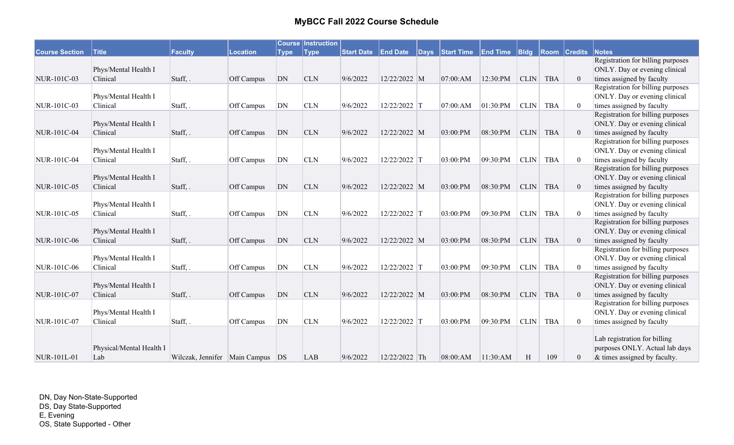| <b>Course Section</b> | <b>Title</b>                     | <b>Faculty</b>                       | <b>Location</b> | <b>Type</b> | <b>Course Instruction</b><br> Type | <b>Start Date</b> | <b>End Date</b> | $\sqrt{\mathsf{days}}$ | Start Time | <b>End Time</b> | $ B $ dg    |            | <b>Room Credits</b> | Notes                                                          |
|-----------------------|----------------------------------|--------------------------------------|-----------------|-------------|------------------------------------|-------------------|-----------------|------------------------|------------|-----------------|-------------|------------|---------------------|----------------------------------------------------------------|
|                       |                                  |                                      |                 |             |                                    |                   |                 |                        |            |                 |             |            |                     | Registration for billing purposes                              |
|                       | Phys/Mental Health I             |                                      |                 |             |                                    |                   |                 |                        |            |                 |             |            |                     | ONLY. Day or evening clinical                                  |
| NUR-101C-03           | Clinical                         | Staff, .                             | Off Campus      | DN          | <b>CLN</b>                         | 9/6/2022          | 12/22/2022 M    |                        | 07:00:AM   | 12:30:PM        | <b>CLIN</b> | <b>TBA</b> | $\overline{0}$      | times assigned by faculty                                      |
|                       |                                  |                                      |                 |             |                                    |                   |                 |                        |            |                 |             |            |                     | Registration for billing purposes                              |
|                       | Phys/Mental Health I             |                                      |                 |             |                                    |                   |                 |                        |            |                 |             |            |                     | ONLY. Day or evening clinical                                  |
| NUR-101C-03           | Clinical                         | Staff,.                              | Off Campus      | <b>DN</b>   | <b>CLN</b>                         | 9/6/2022          | 12/22/2022 T    |                        | 07:00:AM   | 01:30:PM        | $CLIN$      | <b>TBA</b> | $\overline{0}$      | times assigned by faculty                                      |
|                       |                                  |                                      |                 |             |                                    |                   |                 |                        |            |                 |             |            |                     | Registration for billing purposes                              |
|                       | Phys/Mental Health I             |                                      |                 |             |                                    |                   |                 |                        |            |                 |             |            |                     | ONLY. Day or evening clinical                                  |
| NUR-101C-04           | Clinical                         | Staff, .                             | Off Campus      | DN          | <b>CLN</b>                         | 9/6/2022          | 12/22/2022 M    |                        | 03:00:PM   | 08:30:PM        | <b>CLIN</b> | <b>TBA</b> | $\overline{0}$      | times assigned by faculty                                      |
|                       |                                  |                                      |                 |             |                                    |                   |                 |                        |            |                 |             |            |                     | Registration for billing purposes                              |
|                       | Phys/Mental Health I             |                                      |                 |             |                                    |                   |                 |                        |            |                 |             |            |                     | ONLY. Day or evening clinical                                  |
| NUR-101C-04           | Clinical                         | Staff, .                             | Off Campus      | <b>DN</b>   | <b>CLN</b>                         | 9/6/2022          | 12/22/2022 T    |                        | 03:00:PM   | 09:30:PM        | CLIN        | <b>TBA</b> | $\overline{0}$      | times assigned by faculty                                      |
|                       |                                  |                                      |                 |             |                                    |                   |                 |                        |            |                 |             |            |                     | Registration for billing purposes                              |
|                       | Phys/Mental Health I             |                                      |                 |             |                                    |                   |                 |                        |            |                 |             |            |                     | ONLY. Day or evening clinical                                  |
| NUR-101C-05           | Clinical                         | Staff, .                             | Off Campus      | DN          | <b>CLN</b>                         | 9/6/2022          | 12/22/2022 M    |                        | 03:00:PM   | 08:30:PM        | <b>CLIN</b> | <b>TBA</b> | $\overline{0}$      | times assigned by faculty                                      |
|                       |                                  |                                      |                 |             |                                    |                   |                 |                        |            |                 |             |            |                     | Registration for billing purposes                              |
|                       | Phys/Mental Health I             |                                      |                 |             |                                    |                   |                 |                        |            |                 |             |            |                     | ONLY. Day or evening clinical                                  |
| NUR-101C-05           | Clinical                         | Staff,.                              | Off Campus      | DN          | <b>CLN</b>                         | 9/6/2022          | 12/22/2022 T    |                        | 03:00:PM   | 09:30:PM        | <b>CLIN</b> | <b>TBA</b> | $\overline{0}$      | times assigned by faculty                                      |
|                       |                                  |                                      |                 |             |                                    |                   |                 |                        |            |                 |             |            |                     | Registration for billing purposes                              |
|                       | Phys/Mental Health I             |                                      |                 |             |                                    |                   |                 |                        |            |                 |             |            |                     | ONLY. Day or evening clinical                                  |
| NUR-101C-06           | Clinical                         | Staff,.                              | Off Campus      | DN          | <b>CLN</b>                         | 9/6/2022          | 12/22/2022 M    |                        | 03:00:PM   | 08:30:PM        | CLIN        | <b>TBA</b> | $\mathbf{0}$        | times assigned by faculty                                      |
|                       |                                  |                                      |                 |             |                                    |                   |                 |                        |            |                 |             |            |                     | Registration for billing purposes                              |
|                       | Phys/Mental Health I             |                                      |                 |             |                                    |                   |                 |                        |            |                 |             |            |                     | ONLY. Day or evening clinical                                  |
| NUR-101C-06           | Clinical                         | Staff, .                             | Off Campus      | DN          | <b>CLN</b>                         | 9/6/2022          | 12/22/2022 T    |                        | 03:00:PM   | 09:30:PM        | CLIN        | <b>TBA</b> | $\mathbf{0}$        | times assigned by faculty<br>Registration for billing purposes |
|                       |                                  |                                      |                 |             |                                    |                   |                 |                        |            |                 |             |            |                     | ONLY. Day or evening clinical                                  |
| NUR-101C-07           | Phys/Mental Health I<br>Clinical | Staff, .                             | Off Campus      | DN          | <b>CLN</b>                         | 9/6/2022          | 12/22/2022 M    |                        | 03:00:PM   | 08:30:PM        | CLIN        | <b>TBA</b> | $\overline{0}$      | times assigned by faculty                                      |
|                       |                                  |                                      |                 |             |                                    |                   |                 |                        |            |                 |             |            |                     | Registration for billing purposes                              |
|                       | Phys/Mental Health I             |                                      |                 |             |                                    |                   |                 |                        |            |                 |             |            |                     | ONLY. Day or evening clinical                                  |
| NUR-101C-07           | Clinical                         | Staff, .                             | Off Campus      | DN          | <b>CLN</b>                         | 9/6/2022          | 12/22/2022 T    |                        | 03:00:PM   | 09:30:PM        | <b>CLIN</b> | <b>TBA</b> | $\boldsymbol{0}$    | times assigned by faculty                                      |
|                       |                                  |                                      |                 |             |                                    |                   |                 |                        |            |                 |             |            |                     |                                                                |
|                       |                                  |                                      |                 |             |                                    |                   |                 |                        |            |                 |             |            |                     | Lab registration for billing                                   |
|                       | Physical/Mental Health I         |                                      |                 |             |                                    |                   |                 |                        |            |                 |             |            |                     | purposes ONLY. Actual lab days                                 |
| NUR-101L-01           | Lab                              | Wilczak, Jennifer   Main Campus   DS |                 |             | <b>LAB</b>                         | 9/6/2022          | 12/22/2022 Th   |                        | 08:00:AM   | 11:30:AM        | H           | 109        | 0                   | & times assigned by faculty.                                   |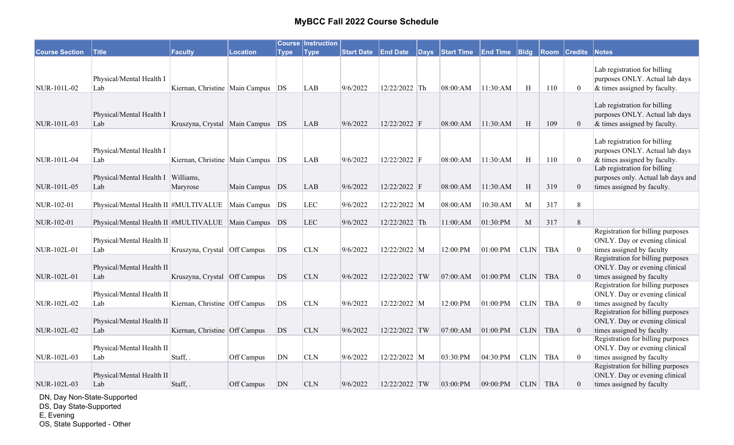|                       |                                                          |                                       |                |             | <b>Course Instruction</b> |          |               |                                                                |          |             |            |                |                                                                                                  |
|-----------------------|----------------------------------------------------------|---------------------------------------|----------------|-------------|---------------------------|----------|---------------|----------------------------------------------------------------|----------|-------------|------------|----------------|--------------------------------------------------------------------------------------------------|
| <b>Course Section</b> | <b>Title</b>                                             | <b>Faculty</b>                        | Location       | <b>Type</b> | <b>Type</b>               |          |               | Start Date End Date Days Start Time End Time Bldg Room Credits |          |             |            |                | <b>Notes</b>                                                                                     |
| NUR-101L-02           | Physical/Mental Health I<br>Lab                          | Kiernan, Christine   Main Campus   DS |                |             | <b>LAB</b>                | 9/6/2022 | 12/22/2022 Th | 08:00:AM                                                       | 11:30:AM | H           | 110        | $\mathbf{0}$   | Lab registration for billing<br>purposes ONLY. Actual lab days<br>& times assigned by faculty.   |
| NUR-101L-03           | Physical/Mental Health I<br>Lab                          | Kruszyna, Crystal   Main Campus   DS  |                |             | <b>LAB</b>                | 9/6/2022 | 12/22/2022 F  | 08:00:AM                                                       | 11:30:AM | H           | 109        | $\overline{0}$ | Lab registration for billing<br>purposes ONLY. Actual lab days<br>& times assigned by faculty.   |
| NUR-101L-04           | Physical/Mental Health I<br>Lab                          | Kiernan, Christine   Main Campus   DS |                |             | <b>LAB</b>                | 9/6/2022 | 12/22/2022 F  | 08:00:AM                                                       | 11:30:AM | H           | 110        | $\mathbf{0}$   | Lab registration for billing<br>purposes ONLY. Actual lab days<br>& times assigned by faculty.   |
| NUR-101L-05           | Physical/Mental Health I   Williams,<br>Lab              | Maryrose                              | Main Campus DS |             | LAB                       | 9/6/2022 | 12/22/2022 F  | 08:00:AM                                                       | 11:30:AM | H           | 319        | $\overline{0}$ | Lab registration for billing<br>purposes only. Actual lab days and<br>times assigned by faculty. |
| NUR-102-01            | Physical/Mental Health II #MULTIVALUE   Main Campus   DS |                                       |                |             | <b>LEC</b>                | 9/6/2022 | 12/22/2022 M  | 08:00:AM                                                       | 10:30:AM | M           | 317        | 8              |                                                                                                  |
| NUR-102-01            | Physical/Mental Health II #MULTIVALUE   Main Campus   DS |                                       |                |             | <b>LEC</b>                | 9/6/2022 | 12/22/2022 Th | 11:00:AM                                                       | 01:30:PM | M           | 317        | 8              |                                                                                                  |
| NUR-102L-01           | Physical/Mental Health II<br>Lab                         | Kruszyna, Crystal Off Campus          |                | DS          | <b>CLN</b>                | 9/6/2022 | 12/22/2022 M  | 12:00:PM                                                       | 01:00:PM | CLIN        | <b>TBA</b> | $\overline{0}$ | Registration for billing purposes<br>ONLY. Day or evening clinical<br>times assigned by faculty  |
| NUR-102L-01           | Physical/Mental Health II<br>Lab                         | Kruszyna, Crystal Off Campus          |                | DS          | <b>CLN</b>                | 9/6/2022 | 12/22/2022 TW | 07:00:AM                                                       | 01:00:PM | <b>CLIN</b> | <b>TBA</b> | $\overline{0}$ | Registration for billing purposes<br>ONLY. Day or evening clinical<br>times assigned by faculty  |
| NUR-102L-02           | Physical/Mental Health II<br>Lab                         | Kiernan, Christine   Off Campus       |                | DS          | <b>CLN</b>                | 9/6/2022 | 12/22/2022 M  | 12:00:PM                                                       | 01:00:PM | <b>CLIN</b> | <b>TBA</b> | $\overline{0}$ | Registration for billing purposes<br>ONLY. Day or evening clinical<br>times assigned by faculty  |
| NUR-102L-02           | Physical/Mental Health II<br>Lab                         | Kiernan, Christine Off Campus         |                | DS          | <b>CLN</b>                | 9/6/2022 | 12/22/2022 TW | 07:00:AM                                                       | 01:00:PM | CLIN        | <b>TBA</b> | $\overline{0}$ | Registration for billing purposes<br>ONLY. Day or evening clinical<br>times assigned by faculty  |
| NUR-102L-03           | Physical/Mental Health II<br>Lab                         | Staff, .                              | Off Campus     | DN          | <b>CLN</b>                | 9/6/2022 | 12/22/2022 M  | 03:30:PM                                                       | 04:30:PM | <b>CLIN</b> | <b>TBA</b> | $\theta$       | Registration for billing purposes<br>ONLY. Day or evening clinical<br>times assigned by faculty  |
| NUR-102L-03           | Physical/Mental Health II<br>Lab                         | Staff, .                              | Off Campus     | DN          | <b>CLN</b>                | 9/6/2022 | 12/22/2022 TW | 03:00:PM                                                       | 09:00:PM | <b>CLIN</b> | <b>TBA</b> | $\mathbf{0}$   | Registration for billing purposes<br>ONLY. Day or evening clinical<br>times assigned by faculty  |

DN, Day Non-State-Supported

DS, Day State-Supported

E, Evening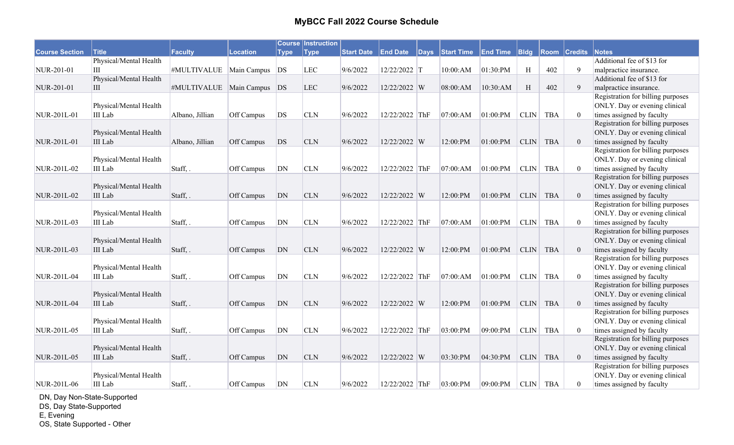|                       |                        |                                |            |             | <b>Course Instruction</b> |                   |                 |          |                   |                 |             |            |                     |                                   |
|-----------------------|------------------------|--------------------------------|------------|-------------|---------------------------|-------------------|-----------------|----------|-------------------|-----------------|-------------|------------|---------------------|-----------------------------------|
| <b>Course Section</b> | <b>Title</b>           | <b>Faculty</b>                 | Location   | <b>Type</b> | <b>Type</b>               | <b>Start Date</b> | <b>End Date</b> | $ $ Days | <b>Start Time</b> | <b>End Time</b> | Bldg        |            | <b>Room Credits</b> | <b>Notes</b>                      |
|                       | Physical/Mental Health |                                |            |             |                           |                   |                 |          |                   |                 |             |            |                     | Additional fee of \$13 for        |
| NUR-201-01            | III                    | #MULTIVALUE   Main Campus      |            | DS          | <b>LEC</b>                | 9/6/2022          | 12/22/2022 T    |          | 10:00:AM          | 01:30:PM        | H           | 402        | 9                   | malpractice insurance.            |
|                       | Physical/Mental Health |                                |            |             |                           |                   |                 |          |                   |                 |             |            |                     | Additional fee of \$13 for        |
| NUR-201-01            | Ш                      | #MULTIVALUE   Main Campus   DS |            |             | <b>LEC</b>                | 9/6/2022          | 12/22/2022 W    |          | 08:00:AM          | 10:30:AM        | H           | 402        | 9                   | malpractice insurance.            |
|                       |                        |                                |            |             |                           |                   |                 |          |                   |                 |             |            |                     | Registration for billing purposes |
|                       | Physical/Mental Health |                                |            |             |                           |                   |                 |          |                   |                 |             |            |                     | ONLY. Day or evening clinical     |
| NUR-201L-01           | III Lab                | Albano, Jillian                | Off Campus | DS          | <b>CLN</b>                | 9/6/2022          | 12/22/2022 ThF  |          | 07:00:AM          | 01:00:PM        | <b>CLIN</b> | TBA        | $\overline{0}$      | times assigned by faculty         |
|                       |                        |                                |            |             |                           |                   |                 |          |                   |                 |             |            |                     | Registration for billing purposes |
|                       | Physical/Mental Health |                                |            |             |                           |                   |                 |          |                   |                 |             |            |                     | ONLY. Day or evening clinical     |
| NUR-201L-01           | III Lab                | Albano, Jillian                | Off Campus | DS          | <b>CLN</b>                | 9/6/2022          | 12/22/2022 W    |          | 12:00:PM          | 01:00:PM        | $CLIN$      | <b>TBA</b> | $\mathbf{0}$        | times assigned by faculty         |
|                       |                        |                                |            |             |                           |                   |                 |          |                   |                 |             |            |                     | Registration for billing purposes |
|                       | Physical/Mental Health |                                |            |             |                           |                   |                 |          |                   |                 |             |            |                     | ONLY. Day or evening clinical     |
| NUR-201L-02           | III Lab                | Staff, .                       | Off Campus | ${\rm DN}$  | <b>CLN</b>                | 9/6/2022          | 12/22/2022 ThF  |          | 07:00:AM          | 01:00:PM        | CLIN        | <b>TBA</b> | $\mathbf{0}$        | times assigned by faculty         |
|                       |                        |                                |            |             |                           |                   |                 |          |                   |                 |             |            |                     | Registration for billing purposes |
|                       | Physical/Mental Health |                                |            |             |                           |                   |                 |          |                   |                 |             |            |                     | ONLY. Day or evening clinical     |
| NUR-201L-02           | <b>III</b> Lab         | Staff, .                       | Off Campus | DN          | <b>CLN</b>                | 9/6/2022          | 12/22/2022 W    |          | 12:00:PM          | 01:00:PM        | <b>CLIN</b> | <b>TBA</b> | $\overline{0}$      | times assigned by faculty         |
|                       |                        |                                |            |             |                           |                   |                 |          |                   |                 |             |            |                     | Registration for billing purposes |
|                       | Physical/Mental Health |                                |            |             |                           |                   |                 |          |                   |                 |             |            |                     | ONLY. Day or evening clinical     |
| NUR-201L-03           | III Lab                | Staff, .                       | Off Campus | DN          | <b>CLN</b>                | 9/6/2022          | 12/22/2022 ThF  |          | 07:00:AM          | 01:00:PM        | <b>CLIN</b> | <b>TBA</b> | $\overline{0}$      | times assigned by faculty         |
|                       |                        |                                |            |             |                           |                   |                 |          |                   |                 |             |            |                     | Registration for billing purposes |
|                       | Physical/Mental Health |                                |            |             |                           |                   |                 |          |                   |                 |             |            |                     | ONLY. Day or evening clinical     |
| NUR-201L-03           | III Lab                | Staff, .                       | Off Campus | DN          | <b>CLN</b>                | 9/6/2022          | 12/22/2022 W    |          | 12:00:PM          | 01:00:PM        | $CLIN$      | <b>TBA</b> | $\mathbf{0}$        | times assigned by faculty         |
|                       |                        |                                |            |             |                           |                   |                 |          |                   |                 |             |            |                     | Registration for billing purposes |
|                       | Physical/Mental Health |                                |            |             |                           |                   |                 |          |                   |                 |             |            |                     | ONLY. Day or evening clinical     |
| NUR-201L-04           | III Lab                | Staff, .                       | Off Campus | DN          | <b>CLN</b>                | 9/6/2022          | 12/22/2022 ThF  |          | 07:00:AM          | 01:00:PM        | <b>CLIN</b> | <b>TBA</b> | $\overline{0}$      | times assigned by faculty         |
|                       |                        |                                |            |             |                           |                   |                 |          |                   |                 |             |            |                     | Registration for billing purposes |
|                       | Physical/Mental Health |                                |            |             |                           |                   |                 |          |                   |                 |             |            |                     | ONLY. Day or evening clinical     |
| NUR-201L-04           | <b>III</b> Lab         | Staff, .                       | Off Campus | DN          | <b>CLN</b>                | 9/6/2022          | 12/22/2022 W    |          | 12:00:PM          | 01:00:PM        | CLIN        | <b>TBA</b> | $\mathbf{0}$        | times assigned by faculty         |
|                       |                        |                                |            |             |                           |                   |                 |          |                   |                 |             |            |                     | Registration for billing purposes |
|                       | Physical/Mental Health |                                |            |             |                           |                   |                 |          |                   |                 |             |            |                     | ONLY. Day or evening clinical     |
| NUR-201L-05           | III Lab                | Staff, .                       | Off Campus | <b>DN</b>   | <b>CLN</b>                | 9/6/2022          | 12/22/2022 ThF  |          | 03:00:PM          | 09:00:PM        | CLIN        | <b>TBA</b> | $\theta$            | times assigned by faculty         |
|                       |                        |                                |            |             |                           |                   |                 |          |                   |                 |             |            |                     | Registration for billing purposes |
|                       | Physical/Mental Health |                                |            |             |                           |                   |                 |          |                   |                 |             |            |                     | ONLY. Day or evening clinical     |
| NUR-201L-05           | III Lab                | Staff, .                       | Off Campus | DN          | <b>CLN</b>                | 9/6/2022          | 12/22/2022 W    |          | 03:30:PM          | 04:30:PM        | CLIN        | <b>TBA</b> | $\mathbf{0}$        | times assigned by faculty         |
|                       |                        |                                |            |             |                           |                   |                 |          |                   |                 |             |            |                     | Registration for billing purposes |
|                       | Physical/Mental Health |                                |            |             |                           |                   |                 |          |                   |                 |             |            |                     | ONLY. Day or evening clinical     |
| NUR-201L-06           | III Lab                | Staff, .                       | Off Campus | DN          | <b>CLN</b>                | 9/6/2022          | 12/22/2022 ThF  |          | 03:00:PM          | 09:00:PM        |             | CLIN TBA   | $\boldsymbol{0}$    | times assigned by faculty         |

DN, Day Non-State-Supported

DS, Day State-Supported

E, Evening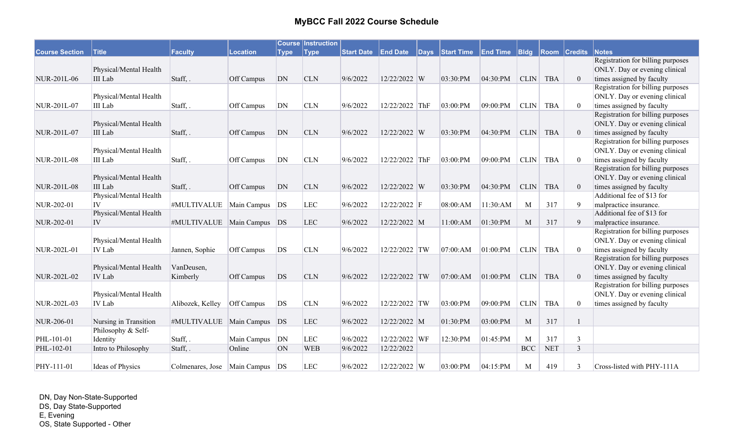| <b>Course Section</b> | <b>Title</b>                   | <b>Faculty</b>                      | <b>Location</b> | <b>Type</b> | <b>Course Instruction</b><br> Type | <b>Start Date End Date</b> |                | Days Start Time | <b>End Time</b> | $ B $ dg    |            | <b>Room Credits</b> | Notes                             |
|-----------------------|--------------------------------|-------------------------------------|-----------------|-------------|------------------------------------|----------------------------|----------------|-----------------|-----------------|-------------|------------|---------------------|-----------------------------------|
|                       |                                |                                     |                 |             |                                    |                            |                |                 |                 |             |            |                     | Registration for billing purposes |
|                       | Physical/Mental Health         |                                     |                 |             |                                    |                            |                |                 |                 |             |            |                     | ONLY. Day or evening clinical     |
| NUR-201L-06           | III Lab                        | Staff, .                            | Off Campus      | DN          | <b>CLN</b>                         | 9/6/2022                   | 12/22/2022 W   | 03:30:PM        | 04:30:PM        | CLIN        | <b>TBA</b> | $\overline{0}$      | times assigned by faculty         |
|                       |                                |                                     |                 |             |                                    |                            |                |                 |                 |             |            |                     | Registration for billing purposes |
|                       | Physical/Mental Health         |                                     |                 |             |                                    |                            |                |                 |                 |             |            |                     | ONLY. Day or evening clinical     |
| NUR-201L-07           | III Lab                        | Staff, .                            | Off Campus      | DN          | <b>CLN</b>                         | 9/6/2022                   | 12/22/2022 ThF | 03:00:PM        | 09:00:PM        | <b>CLIN</b> | <b>TBA</b> | $\mathbf{0}$        | times assigned by faculty         |
|                       |                                |                                     |                 |             |                                    |                            |                |                 |                 |             |            |                     | Registration for billing purposes |
|                       | Physical/Mental Health         |                                     |                 |             |                                    |                            |                |                 |                 |             |            |                     | ONLY. Day or evening clinical     |
| NUR-201L-07           | III Lab                        | Staff, .                            | Off Campus      | DN          | <b>CLN</b>                         | 9/6/2022                   | 12/22/2022 W   | 03:30:PM        | 04:30:PM        | <b>CLIN</b> | <b>TBA</b> | $\theta$            | times assigned by faculty         |
|                       |                                |                                     |                 |             |                                    |                            |                |                 |                 |             |            |                     | Registration for billing purposes |
|                       | Physical/Mental Health         |                                     |                 |             |                                    |                            |                |                 |                 |             |            |                     | ONLY. Day or evening clinical     |
| NUR-201L-08           | <b>III</b> Lab                 | Staff,.                             | Off Campus      | DN          | <b>CLN</b>                         | 9/6/2022                   | 12/22/2022 ThF | 03:00:PM        | 09:00:PM        | CLIN        | <b>TBA</b> | $\theta$            | times assigned by faculty         |
|                       |                                |                                     |                 |             |                                    |                            |                |                 |                 |             |            |                     | Registration for billing purposes |
|                       | Physical/Mental Health         |                                     |                 |             |                                    |                            |                |                 |                 |             |            |                     | ONLY. Day or evening clinical     |
| NUR-201L-08           | III Lab                        | Staff, .                            | Off Campus      | DN          | <b>CLN</b>                         | 9/6/2022                   | 12/22/2022 W   | 03:30:PM        | 04:30:PM        | <b>CLIN</b> | <b>TBA</b> | $\overline{0}$      | times assigned by faculty         |
|                       | Physical/Mental Health         |                                     |                 |             |                                    |                            |                |                 |                 |             |            |                     | Additional fee of \$13 for        |
| NUR-202-01            | IV                             | #MULTIVALUE                         | Main Campus DS  |             | <b>LEC</b>                         | 9/6/2022                   | 12/22/2022 F   | 08:00:AM        | 11:30:AM        | M           | 317        | 9                   | malpractice insurance.            |
|                       | Physical/Mental Health         |                                     |                 |             |                                    |                            |                |                 |                 |             |            |                     | Additional fee of \$13 for        |
| NUR-202-01            | IV                             | #MULTIVALUE   Main Campus   DS      |                 |             | <b>LEC</b>                         | 9/6/2022                   | 12/22/2022 M   | 11:00:AM        | 01:30:PM        | M           | 317        | 9                   | malpractice insurance.            |
|                       |                                |                                     |                 |             |                                    |                            |                |                 |                 |             |            |                     | Registration for billing purposes |
|                       | Physical/Mental Health         |                                     |                 |             |                                    |                            |                |                 |                 |             |            |                     | ONLY. Day or evening clinical     |
| NUR-202L-01           | IV Lab                         | Jannen, Sophie                      | Off Campus      | DS          | <b>CLN</b>                         | 9/6/2022                   | 12/22/2022 TW  | 07:00:AM        | 01:00:PM        | <b>CLIN</b> | <b>TBA</b> | $\theta$            | times assigned by faculty         |
|                       |                                |                                     |                 |             |                                    |                            |                |                 |                 |             |            |                     | Registration for billing purposes |
|                       | Physical/Mental Health         | VanDeusen,                          |                 |             |                                    |                            |                |                 |                 |             |            |                     | ONLY. Day or evening clinical     |
| NUR-202L-02           | IV Lab                         | Kimberly                            | Off Campus      | <b>DS</b>   | <b>CLN</b>                         | 9/6/2022                   | 12/22/2022 TW  | 07:00:AM        | 01:00:PM        | <b>CLIN</b> | <b>TBA</b> | $\overline{0}$      | times assigned by faculty         |
|                       |                                |                                     |                 |             |                                    |                            |                |                 |                 |             |            |                     | Registration for billing purposes |
|                       | Physical/Mental Health         |                                     |                 |             |                                    |                            |                |                 |                 |             |            |                     | ONLY. Day or evening clinical     |
| NUR-202L-03           | IV Lab                         | Alibozek, Kelley                    | Off Campus      | DS          | <b>CLN</b>                         | 9/6/2022                   | 12/22/2022 TW  | 03:00:PM        | 09:00:PM        | <b>CLIN</b> | <b>TBA</b> | $\overline{0}$      | times assigned by faculty         |
|                       |                                |                                     |                 |             |                                    |                            |                |                 |                 |             |            |                     |                                   |
| NUR-206-01            | Nursing in Transition          | #MULTIVALUE   Main Campus   DS      |                 |             | LEC                                | 9/6/2022                   | 12/22/2022 M   | 01:30:PM        | 03:00:PM        | M           | 317        |                     |                                   |
| PHL-101-01            | Philosophy & Self-<br>Identity | Staff, .                            | Main Campus     | DN          | <b>LEC</b>                         | 9/6/2022                   | 12/22/2022 WF  | 12:30:PM        | 01:45:PM        | M           | 317        | 3                   |                                   |
| PHL-102-01            | Intro to Philosophy            | Staff, .                            | Online          | <b>ON</b>   | <b>WEB</b>                         | 9/6/2022                   | 12/22/2022     |                 |                 | <b>BCC</b>  | <b>NET</b> | $\overline{3}$      |                                   |
|                       |                                |                                     |                 |             |                                    |                            |                |                 |                 |             |            |                     |                                   |
| PHY-111-01            | Ideas of Physics               | Colmenares, Jose   Main Campus   DS |                 |             | <b>LEC</b>                         | 9/6/2022                   | 12/22/2022 W   | 03:00:PM        | 04:15:PM        | M           | 419        | 3                   | Cross-listed with PHY-111A        |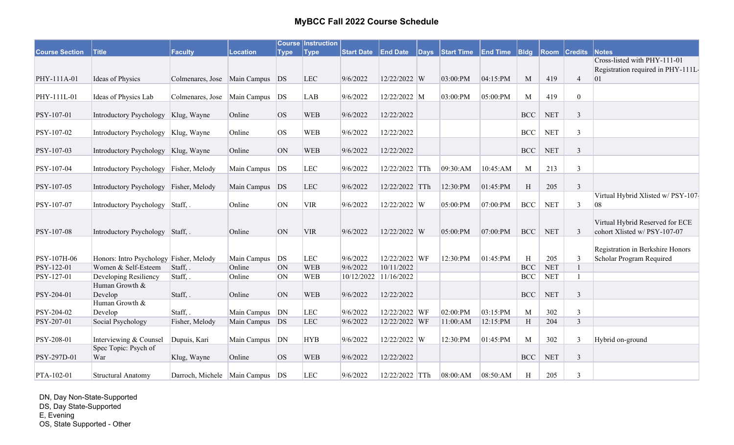|                       |                                         |                                     |                 |             | <b>Course Instruction</b> |                   |                       |                          |          |                           |            |                     |                                       |
|-----------------------|-----------------------------------------|-------------------------------------|-----------------|-------------|---------------------------|-------------------|-----------------------|--------------------------|----------|---------------------------|------------|---------------------|---------------------------------------|
| <b>Course Section</b> | <b>Title</b>                            | Faculty                             | <b>Location</b> | <b>Type</b> | <b>Type</b>               | <b>Start Date</b> | <b>End Date</b>       | Days Start Time End Time |          | <b>Bldg</b>               |            | <b>Room Credits</b> | Notes<br>Cross-listed with PHY-111-01 |
|                       |                                         |                                     |                 |             |                           |                   |                       |                          |          |                           |            |                     | Registration required in PHY-111L-    |
| PHY-111A-01           | Ideas of Physics                        | Colmenares, Jose Main Campus DS     |                 |             | <b>LEC</b>                | 9/6/2022          | 12/22/2022 W          | $03:00$ :PM              | 04:15:PM | M                         | 419        | $\overline{4}$      | 01                                    |
|                       |                                         |                                     |                 |             |                           |                   |                       |                          |          |                           |            |                     |                                       |
| PHY-111L-01           | Ideas of Physics Lab                    | Colmenares, Jose                    | Main Campus     | DS          | LAB                       | 9/6/2022          | 12/22/2022 M          | 03:00:PM                 | 05:00:PM | M                         | 419        | $\boldsymbol{0}$    |                                       |
| PSY-107-01            | Introductory Psychology                 | Klug, Wayne                         | Online          | <b>OS</b>   | <b>WEB</b>                | 9/6/2022          | 12/22/2022            |                          |          | <b>BCC</b>                | <b>NET</b> | 3                   |                                       |
| PSY-107-02            | Introductory Psychology   Klug, Wayne   |                                     | Online          | <b>OS</b>   | <b>WEB</b>                | 9/6/2022          | 12/22/2022            |                          |          | <b>BCC</b>                | <b>NET</b> | $\mathfrak{Z}$      |                                       |
|                       |                                         |                                     |                 |             |                           |                   |                       |                          |          |                           |            |                     |                                       |
| PSY-107-03            | Introductory Psychology   Klug, Wayne   |                                     | Online          | ON          | <b>WEB</b>                | 9/6/2022          | 12/22/2022            |                          |          | $\operatorname{BCC}$      | <b>NET</b> | $\mathfrak{Z}$      |                                       |
| PSY-107-04            | Introductory Psychology Fisher, Melody  |                                     | Main Campus     | DS          | <b>LEC</b>                | 9/6/2022          | 12/22/2022 TTh        | 09:30:AM                 | 10:45:AM | M                         | 213        | 3                   |                                       |
|                       |                                         |                                     |                 |             |                           |                   |                       |                          |          |                           |            |                     |                                       |
| PSY-107-05            | Introductory Psychology Fisher, Melody  |                                     | Main Campus DS  |             | <b>LEC</b>                | 9/6/2022          | 12/22/2022 TTh        | 12:30:PM                 | 01:45:PM | H                         | 205        | $\mathfrak{Z}$      |                                       |
|                       |                                         |                                     |                 |             |                           |                   |                       |                          |          |                           |            |                     | Virtual Hybrid Xlisted w/ PSY-107     |
| PSY-107-07            | Introductory Psychology Staff, .        |                                     | Online          | ON          | <b>VIR</b>                | 9/6/2022          | 12/22/2022 W          | 05:00:PM                 | 07:00:PM | BCC                       | <b>NET</b> | 3                   | 08                                    |
|                       |                                         |                                     |                 |             |                           |                   |                       |                          |          |                           |            |                     | Virtual Hybrid Reserved for ECE       |
| PSY-107-08            | Introductory Psychology Staff,.         |                                     | Online          | ON          | <b>VIR</b>                | 9/6/2022          | 12/22/2022 W          | 05:00:PM                 | 07:00:PM | BCC                       | <b>NET</b> | 3                   | cohort Xlisted w/ PSY-107-07          |
|                       |                                         |                                     |                 |             |                           |                   |                       |                          |          |                           |            |                     |                                       |
|                       |                                         |                                     |                 |             |                           |                   |                       |                          |          |                           |            |                     | Registration in Berkshire Honors      |
| PSY-107H-06           | Honors: Intro Psychology Fisher, Melody |                                     | Main Campus     | DS          | <b>LEC</b>                | 9/6/2022          | 12/22/2022 WF         | 12:30:PM                 | 01:45:PM | H                         | 205        | 3                   | Scholar Program Required              |
| PSY-122-01            | Women & Self-Esteem                     | Staff,.                             | Online          | ON          | <b>WEB</b>                | 9/6/2022          | 10/11/2022            |                          |          | BCC                       | <b>NET</b> |                     |                                       |
| PSY-127-01            | Developing Resiliency                   | Staff,.                             | Online          | ON          | <b>WEB</b>                |                   | 10/12/2022 11/16/2022 |                          |          | BCC                       | <b>NET</b> |                     |                                       |
|                       | Human Growth &                          |                                     |                 |             |                           |                   |                       |                          |          |                           |            |                     |                                       |
| PSY-204-01            | Develop                                 | Staff, .                            | Online          | ON          | <b>WEB</b>                | 9/6/2022          | 12/22/2022            |                          |          | $\operatorname{BCC}$      | <b>NET</b> | $\mathfrak{Z}$      |                                       |
|                       | Human Growth &                          |                                     |                 |             |                           |                   |                       |                          |          |                           |            |                     |                                       |
| PSY-204-02            | Develop                                 | Staff,.                             | Main Campus DN  |             | <b>LEC</b>                | 9/6/2022          | 12/22/2022 WF         | 02:00:PM                 | 03:15:PM | M                         | 302        | 3                   |                                       |
| PSY-207-01            | Social Psychology                       | Fisher, Melody                      | Main Campus DS  |             | <b>LEC</b>                | 9/6/2022          | 12/22/2022 WF         | 11:00:AM                 | 12:15:PM | $\boldsymbol{\mathrm{H}}$ | 204        | $\overline{3}$      |                                       |
| PSY-208-01            | Interviewing & Counsel                  | Dupuis, Kari                        | Main Campus     | DN          | <b>HYB</b>                | 9/6/2022          | 12/22/2022 W          | 12:30:PM                 | 01:45:PM | M                         | 302        | 3                   | Hybrid on-ground                      |
|                       | Spec Topic: Psych of                    |                                     |                 |             |                           |                   |                       |                          |          |                           |            |                     |                                       |
| PSY-297D-01           | War                                     | Klug, Wayne                         | Online          | <b>OS</b>   | <b>WEB</b>                | 9/6/2022          | 12/22/2022            |                          |          | BCC                       | <b>NET</b> | $\mathfrak{Z}$      |                                       |
| PTA-102-01            | Structural Anatomy                      | Darroch, Michele   Main Campus   DS |                 |             | <b>LEC</b>                | 9/6/2022          | 12/22/2022 TTh        | 08:00:AM                 | 08:50:AM | H                         | 205        | $\mathfrak{Z}$      |                                       |

DN, Day Non-State-Supported DS, Day State-Supported E, Evening OS, State Supported - Other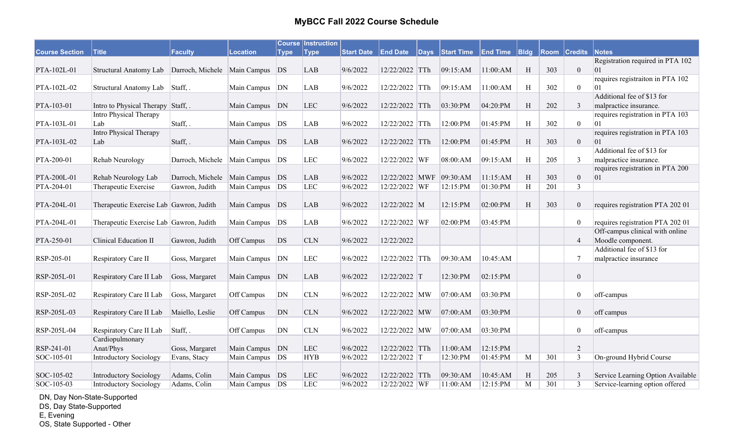|                       |                                                        |                                  |                  |             | <b>Course Instruction</b> |                   |                 |          |                   |                 |             |      |                  |                                        |
|-----------------------|--------------------------------------------------------|----------------------------------|------------------|-------------|---------------------------|-------------------|-----------------|----------|-------------------|-----------------|-------------|------|------------------|----------------------------------------|
| <b>Course Section</b> | <b>Title</b>                                           | Faculty                          | <b>Location</b>  | <b>Type</b> | <b>Type</b>               | <b>Start Date</b> | <b>End Date</b> | $ $ Days | <b>Start Time</b> | <b>End Time</b> | <b>Bldg</b> | Room | <b>Credits</b>   | <b>Notes</b>                           |
|                       |                                                        |                                  |                  |             |                           |                   |                 |          |                   |                 |             |      |                  | Registration required in PTA 102       |
| PTA-102L-01           | Structural Anatomy Lab Darroch, Michele Main Campus DS |                                  |                  |             | <b>LAB</b>                | 9/6/2022          | 12/22/2022 TTh  |          | 09:15:AM          | 11:00:AM        | H           | 303  | $\mathbf{0}$     | 01                                     |
|                       |                                                        |                                  |                  |             |                           |                   |                 |          |                   |                 |             |      |                  | requires registraiton in PTA 102       |
| PTA-102L-02           | Structural Anatomy Lab                                 | $\left  \text{Staff}, \right $ . | Main Campus      | DN          | <b>LAB</b>                | 9/6/2022          | 12/22/2022 TTh  |          | 09:15:AM          | 11:00:AM        | H           | 302  | $\overline{0}$   | 01                                     |
|                       |                                                        |                                  |                  |             |                           |                   |                 |          |                   |                 |             |      |                  | Additional fee of \$13 for             |
| PTA-103-01            | Intro to Physical Therapy Staff, .                     |                                  | Main Campus DN   |             | <b>LEC</b>                | 9/6/2022          | 12/22/2022 TTh  |          | 03:30:PM          | 04:20:PM        | H           | 202  | $\mathfrak{Z}$   | malpractice insurance.                 |
|                       | Intro Physical Therapy                                 |                                  |                  |             |                           |                   |                 |          |                   |                 |             |      |                  | requires registration in PTA 103       |
| PTA-103L-01           | Lab<br>Intro Physical Therapy                          | Staff, .                         | Main Campus      | DS          | <b>LAB</b>                | 9/6/2022          | 12/22/2022 TTh  |          | 12:00:PM          | 01:45:PM        | H           | 302  | $\overline{0}$   | 01<br>requires registration in PTA 103 |
| PTA-103L-02           | Lab                                                    | Staff, .                         | Main Campus DS   |             | <b>LAB</b>                | 9/6/2022          | 12/22/2022 TTh  |          | 12:00:PM          | 01:45:PM        | H           | 303  | $\mathbf{0}$     | 01                                     |
|                       |                                                        |                                  |                  |             |                           |                   |                 |          |                   |                 |             |      |                  | Additional fee of \$13 for             |
| PTA-200-01            | Rehab Neurology                                        | Darroch, Michele Main Campus     |                  | DS          | <b>LEC</b>                | 9/6/2022          | 12/22/2022 WF   |          | 08:00:AM          | 09:15:AM        | H           | 205  | 3                | malpractice insurance.                 |
|                       |                                                        |                                  |                  |             |                           |                   |                 |          |                   |                 |             |      |                  | requires registration in PTA 200       |
| PTA-200L-01           | Rehab Neurology Lab                                    | Darroch, Michele                 | Main Campus      | DS          | <b>LAB</b>                | 9/6/2022          | 12/22/2022 MWF  |          | 09:30:AM          | 11:15:AM        | H           | 303  | $\mathbf{0}$     | $ 01\rangle$                           |
| PTA-204-01            | Therapeutic Exercise                                   | Gawron, Judith                   | Main Campus      | DS          | <b>LEC</b>                | 9/6/2022          | 12/22/2022 WF   |          | 12:15:PM          | 01:30:PM        | H           | 201  | $\mathfrak{Z}$   |                                        |
|                       |                                                        |                                  |                  |             |                           |                   |                 |          |                   |                 |             |      |                  |                                        |
| PTA-204L-01           | Therapeutic Exercise Lab Gawron, Judith                |                                  | Main Campus DS   |             | LAB                       | 9/6/2022          | 12/22/2022 M    |          | 12:15:PM          | 02:00:PM        | H           | 303  | $\boldsymbol{0}$ | requires registration PTA 202 01       |
|                       |                                                        |                                  |                  |             |                           |                   |                 |          |                   |                 |             |      |                  |                                        |
| PTA-204L-01           | Therapeutic Exercise Lab Gawron, Judith                |                                  | Main Campus      | DS          | <b>LAB</b>                | 9/6/2022          | 12/22/2022 WF   |          | 02:00:PM          | 03:45:PM        |             |      | $\boldsymbol{0}$ | requires registration PTA 202 01       |
|                       |                                                        |                                  |                  |             |                           |                   |                 |          |                   |                 |             |      |                  | Off-campus clinical with online        |
| PTA-250-01            | Clinical Education II                                  | Gawron, Judith                   | Off Campus       | DS          | <b>CLN</b>                | 9/6/2022          | 12/22/2022      |          |                   |                 |             |      | $\overline{4}$   | Moodle component.                      |
|                       |                                                        |                                  |                  |             |                           |                   |                 |          |                   |                 |             |      |                  | Additional fee of \$13 for             |
| RSP-205-01            | Respiratory Care II                                    | Goss, Margaret                   | Main Campus      | DN          | <b>LEC</b>                | 9/6/2022          | 12/22/2022 TTh  |          | 09:30:AM          | 10:45:AM        |             |      | 7                | malpractice insurance                  |
|                       |                                                        |                                  |                  |             |                           |                   |                 |          |                   |                 |             |      |                  |                                        |
| RSP-205L-01           | Respiratory Care II Lab                                | Goss, Margaret                   | Main Campus      | DN          | <b>LAB</b>                | 9/6/2022          | 12/22/2022 T    |          | 12:30:PM          | 02:15:PM        |             |      | $\boldsymbol{0}$ |                                        |
|                       |                                                        |                                  |                  |             |                           |                   |                 |          |                   |                 |             |      |                  |                                        |
| RSP-205L-02           | Respiratory Care II Lab                                | Goss, Margaret                   | Off Campus       | DN          | <b>CLN</b>                | 9/6/2022          | 12/22/2022 MW   |          | 07:00:AM          | 03:30:PM        |             |      | $\boldsymbol{0}$ | off-campus                             |
|                       |                                                        |                                  |                  |             |                           |                   |                 |          |                   |                 |             |      |                  |                                        |
| RSP-205L-03           | Respiratory Care II Lab                                | Maiello, Leslie                  | Off Campus       | DN          | <b>CLN</b>                | 9/6/2022          | 12/22/2022 MW   |          | 07:00:AM          | 03:30:PM        |             |      | $\boldsymbol{0}$ | off campus                             |
|                       |                                                        |                                  |                  |             |                           |                   |                 |          |                   |                 |             |      |                  |                                        |
| RSP-205L-04           | Respiratory Care II Lab                                | Staff, .                         | Off Campus       | DN          | <b>CLN</b>                | 9/6/2022          | 12/22/2022 MW   |          | 07:00:AM          | 03:30:PM        |             |      | $\boldsymbol{0}$ | off-campus                             |
|                       | Cardiopulmonary                                        |                                  |                  |             |                           |                   |                 |          |                   |                 |             |      |                  |                                        |
| RSP-241-01            | Anat/Phys                                              | Goss, Margaret                   | Main Campus DN   |             | <b>LEC</b>                | 9/6/2022          | 12/22/2022 TTh  |          | 11:00:AM          | 12:15:PM        |             |      | 2                |                                        |
| SOC-105-01            | Introductory Sociology                                 | Evans, Stacy                     | Main Campus      | DS          | <b>HYB</b>                | 9/6/2022          | 12/22/2022 T    |          | 12:30:PM          | 01:45:PM        | M           | 301  | $\overline{3}$   | On-ground Hybrid Course                |
| SOC-105-02            | <b>Introductory Sociology</b>                          | Adams, Colin                     | Main Campus      | DS          | <b>LEC</b>                | 9/6/2022          | 12/22/2022 TTh  |          | 09:30:AM          | 10:45:AM        | H           | 205  | 3                | Service Learning Option Available      |
| SOC-105-03            | Introductory Sociology                                 | Adams, Colin                     | Main Campus   DS |             | LEC                       | 9/6/2022          | 12/22/2022 WF   |          | 11:00:AM          | 12:15:PM        | M           | 301  | $\overline{3}$   | Service-learning option offered        |
|                       |                                                        |                                  |                  |             |                           |                   |                 |          |                   |                 |             |      |                  |                                        |

DN, Day Non-State-Supported

DS, Day State-Supported

E, Evening